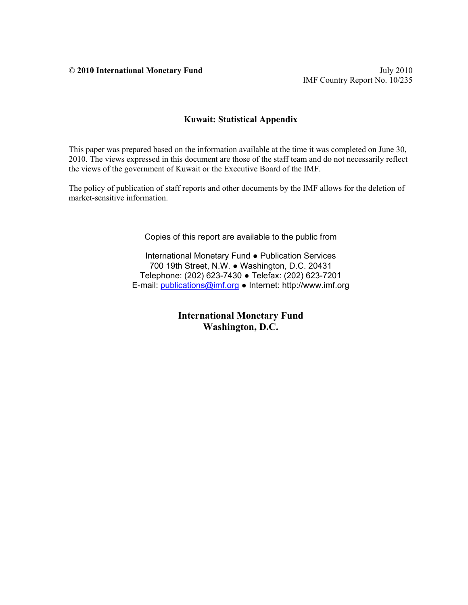© **2010 International Monetary Fund** July 2010

### **Kuwait: Statistical Appendix**

This paper was prepared based on the information available at the time it was completed on June 30, 2010. The views expressed in this document are those of the staff team and do not necessarily reflect the views of the government of Kuwait or the Executive Board of the IMF.

The policy of publication of staff reports and other documents by the IMF allows for the deletion of market-sensitive information.

Copies of this report are available to the public from

International Monetary Fund ● Publication Services 700 19th Street, N.W. ● Washington, D.C. 20431 Telephone: (202) 623-7430 ● Telefax: (202) 623-7201 E-mail: publications@imf.org ● Internet: http://www.imf.org

> **International Monetary Fund Washington, D.C.**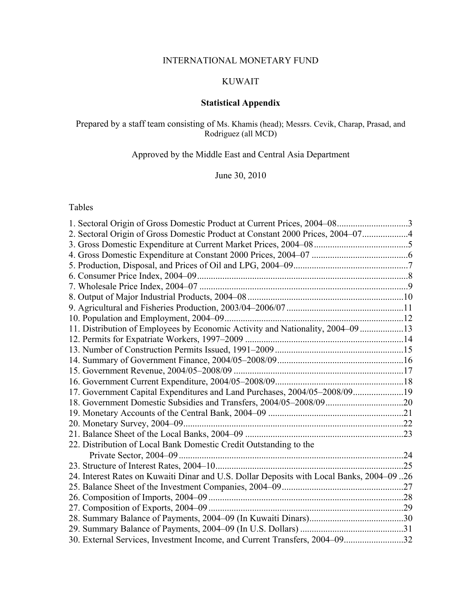## INTERNATIONAL MONETARY FUND

# KUWAIT

# **Statistical Appendix**

### Prepared by a staff team consisting of Ms. Khamis (head); Messrs. Cevik, Charap, Prasad, and Rodriguez (all MCD)

# Approved by the Middle East and Central Asia Department

June 30, 2010

### Tables

| 2. Sectoral Origin of Gross Domestic Product at Constant 2000 Prices, 2004-074           |  |
|------------------------------------------------------------------------------------------|--|
|                                                                                          |  |
|                                                                                          |  |
|                                                                                          |  |
|                                                                                          |  |
|                                                                                          |  |
|                                                                                          |  |
|                                                                                          |  |
|                                                                                          |  |
| 11. Distribution of Employees by Economic Activity and Nationality, 2004–09 13           |  |
|                                                                                          |  |
|                                                                                          |  |
|                                                                                          |  |
|                                                                                          |  |
|                                                                                          |  |
| 17. Government Capital Expenditures and Land Purchases, 2004/05-2008/0919                |  |
|                                                                                          |  |
|                                                                                          |  |
|                                                                                          |  |
|                                                                                          |  |
| 22. Distribution of Local Bank Domestic Credit Outstanding to the                        |  |
|                                                                                          |  |
|                                                                                          |  |
| 24. Interest Rates on Kuwaiti Dinar and U.S. Dollar Deposits with Local Banks, 2004-0926 |  |
|                                                                                          |  |
|                                                                                          |  |
|                                                                                          |  |
|                                                                                          |  |
|                                                                                          |  |
| 30. External Services, Investment Income, and Current Transfers, 2004-0932               |  |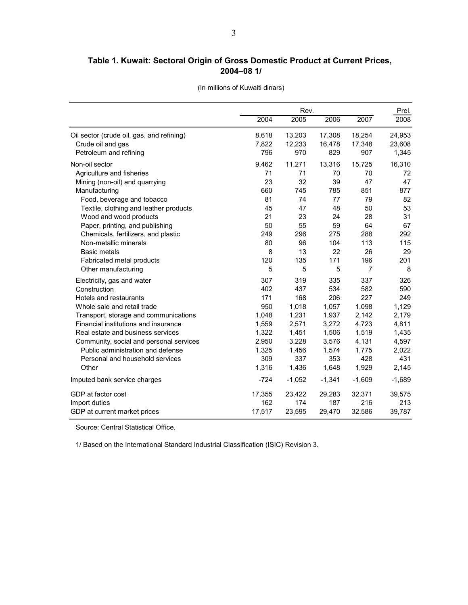### **Table 1. Kuwait: Sectoral Origin of Gross Domestic Product at Current Prices, 2004–08 1/**

|  | (In millions of Kuwaiti dinars) |  |  |
|--|---------------------------------|--|--|
|  |                                 |  |  |

|                                           | Rev.   |          |          |                |          |
|-------------------------------------------|--------|----------|----------|----------------|----------|
|                                           | 2004   | 2005     | 2006     | 2007           | 2008     |
| Oil sector (crude oil, gas, and refining) | 8,618  | 13,203   | 17,308   | 18,254         | 24,953   |
| Crude oil and gas                         | 7,822  | 12,233   | 16,478   | 17,348         | 23,608   |
| Petroleum and refining                    | 796    | 970      | 829      | 907            | 1,345    |
| Non-oil sector                            | 9,462  | 11,271   | 13,316   | 15,725         | 16,310   |
| Agriculture and fisheries                 | 71     | 71       | 70       | 70             | 72       |
| Mining (non-oil) and quarrying            | 23     | 32       | 39       | 47             | 47       |
| Manufacturing                             | 660    | 745      | 785      | 851            | 877      |
| Food, beverage and tobacco                | 81     | 74       | 77       | 79             | 82       |
| Textile, clothing and leather products    | 45     | 47       | 48       | 50             | 53       |
| Wood and wood products                    | 21     | 23       | 24       | 28             | 31       |
| Paper, printing, and publishing           | 50     | 55       | 59       | 64             | 67       |
| Chemicals, fertilizers, and plastic       | 249    | 296      | 275      | 288            | 292      |
| Non-metallic minerals                     | 80     | 96       | 104      | 113            | 115      |
| <b>Basic metals</b>                       | 8      | 13       | 22       | 26             | 29       |
| Fabricated metal products                 | 120    | 135      | 171      | 196            | 201      |
| Other manufacturing                       | 5      | 5        | 5        | $\overline{7}$ | 8        |
| Electricity, gas and water                | 307    | 319      | 335      | 337            | 326      |
| Construction                              | 402    | 437      | 534      | 582            | 590      |
| Hotels and restaurants                    | 171    | 168      | 206      | 227            | 249      |
| Whole sale and retail trade               | 950    | 1,018    | 1,057    | 1,098          | 1,129    |
| Transport, storage and communications     | 1,048  | 1,231    | 1,937    | 2,142          | 2,179    |
| Financial institutions and insurance      | 1,559  | 2,571    | 3,272    | 4,723          | 4,811    |
| Real estate and business services         | 1,322  | 1,451    | 1,506    | 1,519          | 1,435    |
| Community, social and personal services   | 2,950  | 3,228    | 3,576    | 4,131          | 4,597    |
| Public administration and defense         | 1,325  | 1,456    | 1,574    | 1.775          | 2,022    |
| Personal and household services           | 309    | 337      | 353      | 428            | 431      |
| Other                                     | 1,316  | 1,436    | 1,648    | 1,929          | 2,145    |
| Imputed bank service charges              | $-724$ | $-1,052$ | $-1,341$ | $-1,609$       | $-1,689$ |
| GDP at factor cost                        | 17,355 | 23,422   | 29,283   | 32,371         | 39,575   |
| Import duties                             | 162    | 174      | 187      | 216            | 213      |
| GDP at current market prices              | 17,517 | 23,595   | 29,470   | 32,586         | 39,787   |

Source: Central Statistical Office.

1/ Based on the International Standard Industrial Classification (ISIC) Revision 3.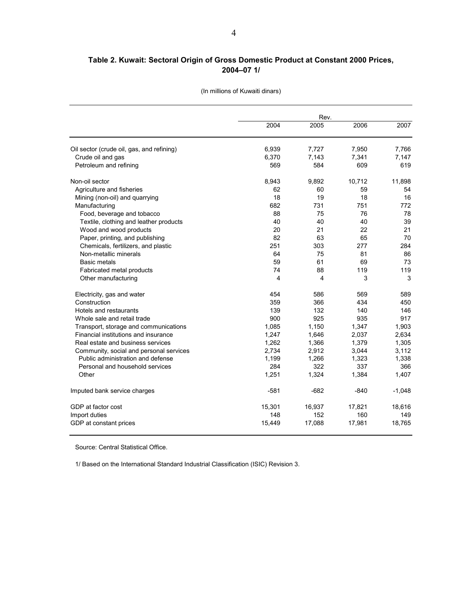### **Table 2. Kuwait: Sectoral Origin of Gross Domestic Product at Constant 2000 Prices, 2004–07 1/**

|                                           | 2004           | Rev.<br>2005   | 2006           | 2007     |  |  |
|-------------------------------------------|----------------|----------------|----------------|----------|--|--|
|                                           |                |                |                | 7.766    |  |  |
| Oil sector (crude oil, gas, and refining) | 6,939<br>6,370 | 7,727<br>7.143 | 7,950<br>7,341 | 7,147    |  |  |
| Crude oil and gas                         | 569            | 584            | 609            | 619      |  |  |
| Petroleum and refining                    |                |                |                |          |  |  |
| Non-oil sector                            | 8,943          | 9,892          | 10,712         | 11,898   |  |  |
| Agriculture and fisheries                 | 62             | 60             | 59             | 54       |  |  |
| Mining (non-oil) and quarrying            | 18             | 19             | 18             | 16       |  |  |
| Manufacturing                             | 682            | 731            | 751            | 772      |  |  |
| Food, beverage and tobacco                | 88             | 75             | 76             | 78       |  |  |
| Textile, clothing and leather products    | 40             | 40             | 40             | 39       |  |  |
| Wood and wood products                    | 20             | 21             | 22             | 21       |  |  |
| Paper, printing, and publishing           | 82             | 63             | 65             | 70       |  |  |
| Chemicals, fertilizers, and plastic       | 251            | 303            | 277            | 284      |  |  |
| Non-metallic minerals                     | 64             | 75             | 81             | 86       |  |  |
| <b>Basic metals</b>                       | 59             | 61             | 69             | 73       |  |  |
| Fabricated metal products                 | 74             | 88             | 119            | 119      |  |  |
| Other manufacturing                       | 4              | 4              | 3              | 3        |  |  |
| Electricity, gas and water                | 454            | 586            | 569            | 589      |  |  |
| Construction                              | 359            | 366            | 434            | 450      |  |  |
| Hotels and restaurants                    | 139            | 132            | 140            | 146      |  |  |
| Whole sale and retail trade               | 900            | 925            | 935            | 917      |  |  |
| Transport, storage and communications     | 1,085          | 1,150          | 1,347          | 1.903    |  |  |
| Financial institutions and insurance      | 1,247          | 1,646          | 2,037          | 2,634    |  |  |
| Real estate and business services         | 1,262          | 1,366          | 1,379          | 1,305    |  |  |
| Community, social and personal services   | 2,734          | 2,912          | 3,044          | 3,112    |  |  |
| Public administration and defense         | 1,199          | 1,266          | 1,323          | 1,338    |  |  |
| Personal and household services           | 284            | 322            | 337            | 366      |  |  |
| Other                                     | 1,251          | 1,324          | 1,384          | 1,407    |  |  |
| Imputed bank service charges              | $-581$         | $-682$         | $-840$         | $-1,048$ |  |  |
| GDP at factor cost                        | 15,301         | 16,937         | 17,821         | 18,616   |  |  |
| Import duties                             | 148            | 152            | 160            | 149      |  |  |
| GDP at constant prices                    | 15,449         | 17,088         | 17,981         | 18,765   |  |  |

(In millions of Kuwaiti dinars)

Source: Central Statistical Office.

1/ Based on the International Standard Industrial Classification (ISIC) Revision 3.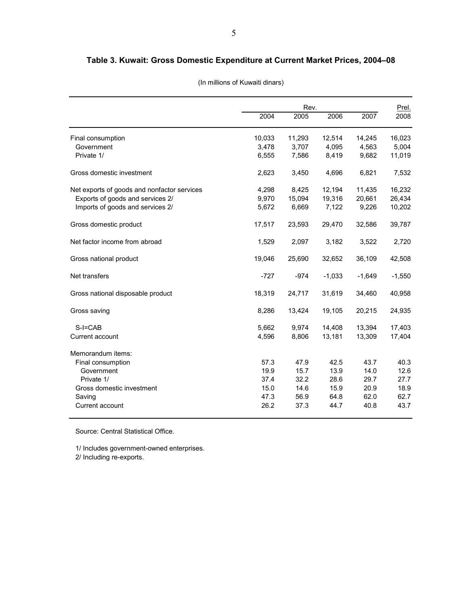### **Table 3. Kuwait: Gross Domestic Expenditure at Current Market Prices, 2004–08**

|                                             |        | Rev.   |          |          |          |  |
|---------------------------------------------|--------|--------|----------|----------|----------|--|
|                                             | 2004   | 2005   | 2006     | 2007     | 2008     |  |
| Final consumption                           | 10,033 | 11,293 | 12,514   | 14,245   | 16,023   |  |
| Government                                  | 3,478  | 3,707  | 4,095    | 4,563    | 5,004    |  |
| Private 1/                                  | 6,555  | 7,586  | 8,419    | 9,682    | 11,019   |  |
| Gross domestic investment                   | 2,623  | 3,450  | 4,696    | 6,821    | 7,532    |  |
| Net exports of goods and nonfactor services | 4,298  | 8,425  | 12,194   | 11,435   | 16,232   |  |
| Exports of goods and services 2/            | 9,970  | 15,094 | 19,316   | 20,661   | 26,434   |  |
| Imports of goods and services 2/            | 5,672  | 6,669  | 7,122    | 9,226    | 10,202   |  |
| Gross domestic product                      | 17,517 | 23,593 | 29,470   | 32,586   | 39,787   |  |
| Net factor income from abroad               | 1,529  | 2,097  | 3,182    | 3,522    | 2,720    |  |
| Gross national product                      | 19,046 | 25,690 | 32,652   | 36,109   | 42,508   |  |
| Net transfers                               | $-727$ | $-974$ | $-1,033$ | $-1,649$ | $-1,550$ |  |
| Gross national disposable product           | 18,319 | 24,717 | 31,619   | 34,460   | 40,958   |  |
| Gross saving                                | 8,286  | 13,424 | 19,105   | 20,215   | 24,935   |  |
| $S-I=CAB$                                   | 5,662  | 9,974  | 14,408   | 13,394   | 17,403   |  |
| Current account                             | 4,596  | 8,806  | 13,181   | 13,309   | 17,404   |  |
| Memorandum items:                           |        |        |          |          |          |  |
| Final consumption                           | 57.3   | 47.9   | 42.5     | 43.7     | 40.3     |  |
| Government                                  | 19.9   | 15.7   | 13.9     | 14.0     | 12.6     |  |
| Private 1/                                  | 37.4   | 32.2   | 28.6     | 29.7     | 27.7     |  |
| Gross domestic investment                   | 15.0   | 14.6   | 15.9     | 20.9     | 18.9     |  |
| Saving                                      | 47.3   | 56.9   | 64.8     | 62.0     | 62.7     |  |
| Current account                             | 26.2   | 37.3   | 44.7     | 40.8     | 43.7     |  |

(In millions of Kuwaiti dinars)

Source: Central Statistical Office.

1/ Includes government-owned enterprises. 2/ Including re-exports.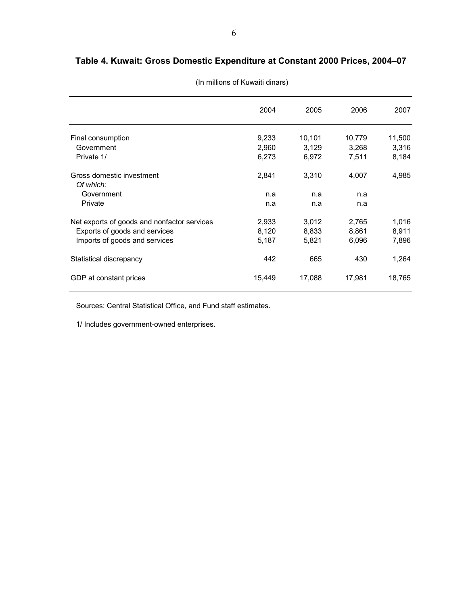# **Table 4. Kuwait: Gross Domestic Expenditure at Constant 2000 Prices, 2004–07**

|                                             | 2004   | 2005   | 2006   | 2007   |
|---------------------------------------------|--------|--------|--------|--------|
|                                             |        |        |        |        |
| Final consumption                           | 9,233  | 10,101 | 10,779 | 11,500 |
| Government                                  | 2,960  | 3,129  | 3,268  | 3,316  |
| Private 1/                                  | 6,273  | 6,972  | 7,511  | 8,184  |
| Gross domestic investment                   | 2,841  | 3,310  | 4,007  | 4,985  |
| Of which:                                   |        |        |        |        |
| Government                                  | n.a    | n.a    | n.a    |        |
| Private                                     | n.a    | n.a    | n.a    |        |
| Net exports of goods and nonfactor services | 2,933  | 3,012  | 2,765  | 1,016  |
| Exports of goods and services               | 8,120  | 8,833  | 8,861  | 8,911  |
| Imports of goods and services               | 5,187  | 5,821  | 6,096  | 7,896  |
|                                             |        |        |        |        |
| Statistical discrepancy                     | 442    | 665    | 430    | 1,264  |
| GDP at constant prices                      | 15,449 | 17,088 | 17,981 | 18,765 |
|                                             |        |        |        |        |

(In millions of Kuwaiti dinars)

Sources: Central Statistical Office, and Fund staff estimates.

1/ Includes government-owned enterprises.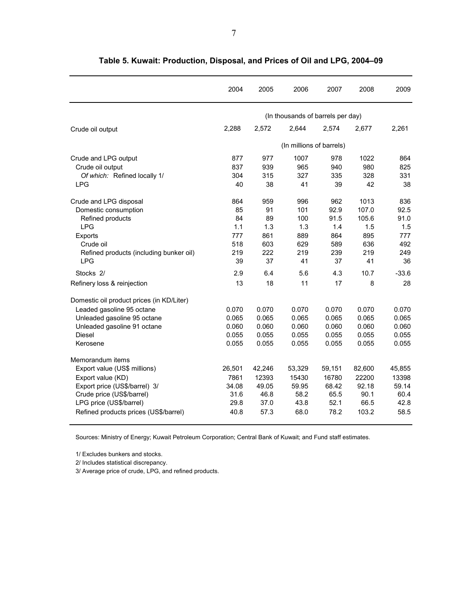|                                           | 2004   | 2005   | 2006                              | 2007                     | 2008   | 2009    |
|-------------------------------------------|--------|--------|-----------------------------------|--------------------------|--------|---------|
|                                           |        |        | (In thousands of barrels per day) |                          |        |         |
| Crude oil output                          | 2,288  | 2,572  | 2.644                             | 2.574                    | 2.677  | 2.261   |
|                                           |        |        |                                   | (In millions of barrels) |        |         |
| Crude and LPG output                      | 877    | 977    | 1007                              | 978                      | 1022   | 864     |
| Crude oil output                          | 837    | 939    | 965                               | 940                      | 980    | 825     |
| Of which: Refined locally 1/              | 304    | 315    | 327                               | 335                      | 328    | 331     |
| <b>LPG</b>                                | 40     | 38     | 41                                | 39                       | 42     | 38      |
| Crude and LPG disposal                    | 864    | 959    | 996                               | 962                      | 1013   | 836     |
| Domestic consumption                      | 85     | 91     | 101                               | 92.9                     | 107.0  | 92.5    |
| Refined products                          | 84     | 89     | 100                               | 91.5                     | 105.6  | 91.0    |
| <b>LPG</b>                                | 1.1    | 1.3    | 1.3                               | 1.4                      | 1.5    | 1.5     |
| Exports                                   | 777    | 861    | 889                               | 864                      | 895    | 777     |
| Crude oil                                 | 518    | 603    | 629                               | 589                      | 636    | 492     |
| Refined products (including bunker oil)   | 219    | 222    | 219                               | 239                      | 219    | 249     |
| <b>LPG</b>                                | 39     | 37     | 41                                | 37                       | 41     | 36      |
| Stocks <sub>2/</sub>                      | 2.9    | 6.4    | 5.6                               | 4.3                      | 10.7   | $-33.6$ |
| Refinery loss & reinjection               | 13     | 18     | 11                                | 17                       | 8      | 28      |
| Domestic oil product prices (in KD/Liter) |        |        |                                   |                          |        |         |
| Leaded gasoline 95 octane                 | 0.070  | 0.070  | 0.070                             | 0.070                    | 0.070  | 0.070   |
| Unleaded gasoline 95 octane               | 0.065  | 0.065  | 0.065                             | 0.065                    | 0.065  | 0.065   |
| Unleaded gasoline 91 octane               | 0.060  | 0.060  | 0.060                             | 0.060                    | 0.060  | 0.060   |
| <b>Diesel</b>                             | 0.055  | 0.055  | 0.055                             | 0.055                    | 0.055  | 0.055   |
| Kerosene                                  | 0.055  | 0.055  | 0.055                             | 0.055                    | 0.055  | 0.055   |
| Memorandum items                          |        |        |                                   |                          |        |         |
| Export value (US\$ millions)              | 26,501 | 42,246 | 53,329                            | 59,151                   | 82,600 | 45,855  |
| Export value (KD)                         | 7861   | 12393  | 15430                             | 16780                    | 22200  | 13398   |
| Export price (US\$/barrel) 3/             | 34.08  | 49.05  | 59.95                             | 68.42                    | 92.18  | 59.14   |
| Crude price (US\$/barrel)                 | 31.6   | 46.8   | 58.2                              | 65.5                     | 90.1   | 60.4    |
| LPG price (US\$/barrel)                   | 29.8   | 37.0   | 43.8                              | 52.1                     | 66.5   | 42.8    |
| Refined products prices (US\$/barrel)     | 40.8   | 57.3   | 68.0                              | 78.2                     | 103.2  | 58.5    |

**Table 5. Kuwait: Production, Disposal, and Prices of Oil and LPG, 2004–09**

Sources: Ministry of Energy; Kuwait Petroleum Corporation; Central Bank of Kuwait; and Fund staff estimates.

1/ Excludes bunkers and stocks.

2/ Includes statistical discrepancy.

3/ Average price of crude, LPG, and refined products.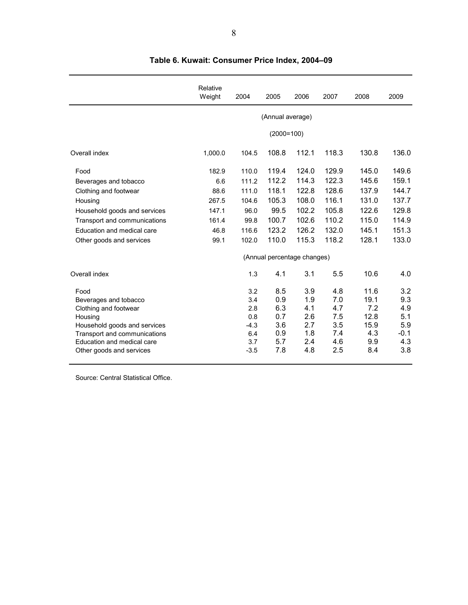|                                                            | Relative<br>Weight | 2004          | 2005                        | 2006       | 2007       | 2008        | 2009          |
|------------------------------------------------------------|--------------------|---------------|-----------------------------|------------|------------|-------------|---------------|
|                                                            |                    |               | (Annual average)            |            |            |             |               |
|                                                            |                    |               | $(2000=100)$                |            |            |             |               |
| Overall index                                              | 1,000.0            | 104.5         | 108.8                       | 112.1      | 118.3      | 130.8       | 136.0         |
| Food                                                       | 182.9              | 110.0         | 119.4                       | 124.0      | 129.9      | 145.0       | 149.6         |
| Beverages and tobacco                                      | 6.6                | 111.2         | 112.2                       | 114.3      | 122.3      | 145.6       | 159.1         |
| Clothing and footwear                                      | 88.6               | 111.0         | 118.1                       | 122.8      | 128.6      | 137.9       | 144.7         |
| Housing                                                    | 267.5              | 104.6         | 105.3                       | 108.0      | 116.1      | 131.0       | 137.7         |
| Household goods and services                               | 147.1              | 96.0          | 99.5                        | 102.2      | 105.8      | 122.6       | 129.8         |
| Transport and communications                               | 161.4              | 99.8          | 100.7                       | 102.6      | 110.2      | 115.0       | 114.9         |
| Education and medical care                                 | 46.8               | 116.6         | 123.2                       | 126.2      | 132.0      | 145.1       | 151.3         |
| Other goods and services                                   | 99.1               | 102.0         | 110.0                       | 115.3      | 118.2      | 128.1       | 133.0         |
|                                                            |                    |               | (Annual percentage changes) |            |            |             |               |
| Overall index                                              |                    | 1.3           | 4.1                         | 3.1        | 5.5        | 10.6        | 4.0           |
| Food                                                       |                    | 3.2           | 8.5                         | 3.9        | 4.8        | 11.6        | 3.2           |
| Beverages and tobacco                                      |                    | 3.4           | 0.9                         | 1.9        | 7.0        | 19.1        | 9.3           |
| Clothing and footwear                                      |                    | 2.8           | 6.3                         | 4.1        | 4.7        | 7.2         | 4.9           |
| Housing                                                    |                    | 0.8           | 0.7                         | 2.6        | 7.5        | 12.8        | 5.1           |
| Household goods and services                               |                    | $-4.3$<br>6.4 | 3.6<br>0.9                  | 2.7<br>1.8 | 3.5<br>7.4 | 15.9<br>4.3 | 5.9<br>$-0.1$ |
| Transport and communications<br>Education and medical care |                    | 3.7           | 5.7                         | 2.4        | 4.6        | 9.9         | 4.3           |
| Other goods and services                                   |                    | $-3.5$        | 7.8                         | 4.8        | 2.5        | 8.4         | 3.8           |
|                                                            |                    |               |                             |            |            |             |               |

# **Table 6. Kuwait: Consumer Price Index, 2004–09**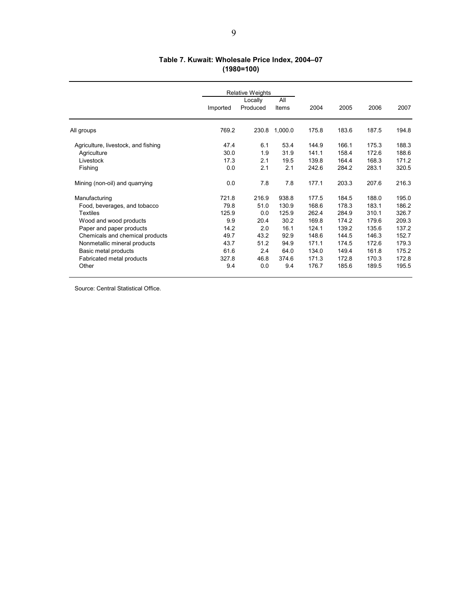### **Table 7. Kuwait: Wholesale Price Index, 2004–07 (1980=100)**

|                                     | <b>Relative Weights</b> |          |         |       |       |       |       |
|-------------------------------------|-------------------------|----------|---------|-------|-------|-------|-------|
|                                     |                         | Locally  | All     |       |       |       |       |
|                                     | Imported                | Produced | Items   | 2004  | 2005  | 2006  | 2007  |
| All groups                          | 769.2                   | 230.8    | 1,000.0 | 175.8 | 183.6 | 187.5 | 194.8 |
| Agriculture, livestock, and fishing | 47.4                    | 6.1      | 53.4    | 144.9 | 166.1 | 175.3 | 188.3 |
| Agriculture                         | 30.0                    | 1.9      | 31.9    | 141.1 | 158.4 | 172.6 | 188.6 |
| Livestock                           | 17.3                    | 2.1      | 19.5    | 139.8 | 164.4 | 168.3 | 171.2 |
| Fishing                             | 0.0                     | 2.1      | 2.1     | 242.6 | 284.2 | 283.1 | 320.5 |
| Mining (non-oil) and quarrying      | 0.0                     | 7.8      | 7.8     | 177.1 | 203.3 | 207.6 | 216.3 |
| Manufacturing                       | 721.8                   | 216.9    | 938.8   | 177.5 | 184.5 | 188.0 | 195.0 |
| Food, beverages, and tobacco        | 79.8                    | 51.0     | 130.9   | 168.6 | 178.3 | 183.1 | 186.2 |
| <b>Textiles</b>                     | 125.9                   | 0.0      | 125.9   | 262.4 | 284.9 | 310.1 | 326.7 |
| Wood and wood products              | 9.9                     | 20.4     | 30.2    | 169.8 | 174.2 | 179.6 | 209.3 |
| Paper and paper products            | 14.2                    | 2.0      | 16.1    | 124.1 | 139.2 | 135.6 | 137.2 |
| Chemicals and chemical products     | 49.7                    | 43.2     | 92.9    | 148.6 | 144.5 | 146.3 | 152.7 |
| Nonmetallic mineral products        | 43.7                    | 51.2     | 94.9    | 171.1 | 174.5 | 172.6 | 179.3 |
| Basic metal products                | 61.6                    | 2.4      | 64.0    | 134.0 | 149.4 | 161.8 | 175.2 |
| Fabricated metal products           | 327.8                   | 46.8     | 374.6   | 171.3 | 172.8 | 170.3 | 172.8 |
| Other                               | 9.4                     | 0.0      | 9.4     | 176.7 | 185.6 | 189.5 | 195.5 |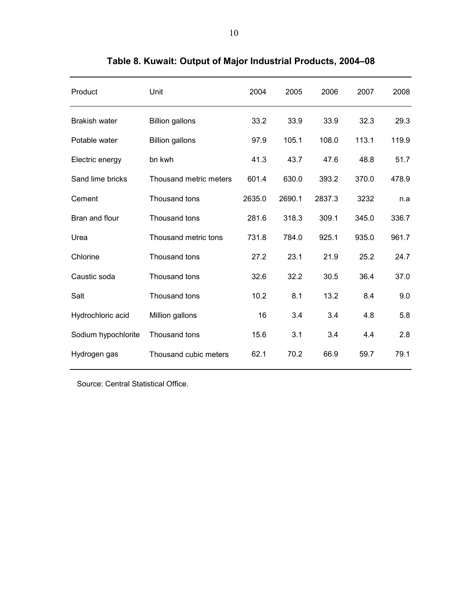| Product              | Unit                   | 2004   | 2005   | 2006   | 2007  | 2008  |
|----------------------|------------------------|--------|--------|--------|-------|-------|
| <b>Brakish water</b> | <b>Billion gallons</b> | 33.2   | 33.9   | 33.9   | 32.3  | 29.3  |
| Potable water        | <b>Billion gallons</b> | 97.9   | 105.1  | 108.0  | 113.1 | 119.9 |
| Electric energy      | bn kwh                 | 41.3   | 43.7   | 47.6   | 48.8  | 51.7  |
| Sand lime bricks     | Thousand metric meters | 601.4  | 630.0  | 393.2  | 370.0 | 478.9 |
| Cement               | Thousand tons          | 2635.0 | 2690.1 | 2837.3 | 3232  | n.a   |
| Bran and flour       | Thousand tons          | 281.6  | 318.3  | 309.1  | 345.0 | 336.7 |
| Urea                 | Thousand metric tons   | 731.8  | 784.0  | 925.1  | 935.0 | 961.7 |
| Chlorine             | Thousand tons          | 27.2   | 23.1   | 21.9   | 25.2  | 24.7  |
| Caustic soda         | Thousand tons          | 32.6   | 32.2   | 30.5   | 36.4  | 37.0  |
| Salt                 | Thousand tons          | 10.2   | 8.1    | 13.2   | 8.4   | 9.0   |
| Hydrochloric acid    | Million gallons        | 16     | 3.4    | 3.4    | 4.8   | 5.8   |
| Sodium hypochlorite  | Thousand tons          | 15.6   | 3.1    | 3.4    | 4.4   | 2.8   |
| Hydrogen gas         | Thousand cubic meters  | 62.1   | 70.2   | 66.9   | 59.7  | 79.1  |

**Table 8. Kuwait: Output of Major Industrial Products, 2004–08**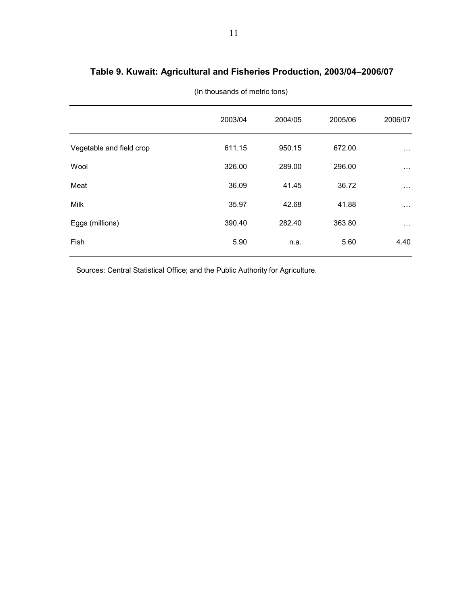|                          | 2003/04 | 2004/05 | 2005/06 | 2006/07  |
|--------------------------|---------|---------|---------|----------|
| Vegetable and field crop | 611.15  | 950.15  | 672.00  | $\cdots$ |
| Wool                     | 326.00  | 289.00  | 296.00  | $\cdots$ |
| Meat                     | 36.09   | 41.45   | 36.72   | $\cdots$ |
| Milk                     | 35.97   | 42.68   | 41.88   | $\cdots$ |
| Eggs (millions)          | 390.40  | 282.40  | 363.80  | $\cdots$ |
| Fish                     | 5.90    | n.a.    | 5.60    | 4.40     |
|                          |         |         |         |          |

(In thousands of metric tons)

Sources: Central Statistical Office; and the Public Authority for Agriculture.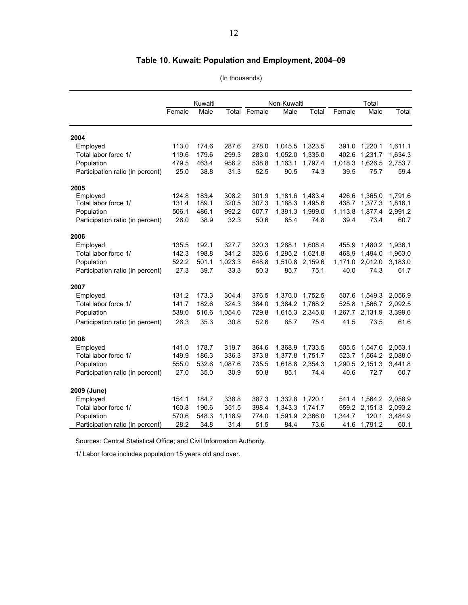# **Table 10. Kuwait: Population and Employment, 2004–09**

(In thousands)

|                                  |        | Kuwaiti |         |                     | Non-Kuwaiti |         |         | Total           |         |
|----------------------------------|--------|---------|---------|---------------------|-------------|---------|---------|-----------------|---------|
|                                  | Female | Male    |         | <b>Total Female</b> | Male        | Total   | Female  | Male            | Total   |
| 2004                             |        |         |         |                     |             |         |         |                 |         |
| Employed                         | 113.0  | 174.6   | 287.6   | 278.0               | 1,045.5     | 1,323.5 |         | 391.0 1,220.1   | 1,611.1 |
| Total labor force 1/             | 119.6  | 179.6   | 299.3   | 283.0               | 1,052.0     | 1,335.0 | 402.6   | 1,231.7         | 1,634.3 |
| Population                       | 479.5  | 463.4   | 956.2   | 538.8               | 1,163.1     | 1,797.4 | 1,018.3 | 1,626.5         | 2,753.7 |
| Participation ratio (in percent) | 25.0   | 38.8    | 31.3    | 52.5                | 90.5        | 74.3    | 39.5    | 75.7            | 59.4    |
| 2005                             |        |         |         |                     |             |         |         |                 |         |
| Employed                         | 124.8  | 183.4   | 308.2   | 301.9               | 1,181.6     | 1,483.4 | 426.6   | 1,365.0         | 1,791.6 |
| Total labor force 1/             | 131.4  | 189.1   | 320.5   | 307.3               | 1,188.3     | 1,495.6 | 438.7   | 1,377.3         | 1,816.1 |
| Population                       | 506.1  | 486.1   | 992.2   | 607.7               | 1,391.3     | 1,999.0 | 1,113.8 | 1,877.4         | 2,991.2 |
| Participation ratio (in percent) | 26.0   | 38.9    | 32.3    | 50.6                | 85.4        | 74.8    | 39.4    | 73.4            | 60.7    |
| 2006                             |        |         |         |                     |             |         |         |                 |         |
| Employed                         | 135.5  | 192.1   | 327.7   | 320.3               | 1,288.1     | 1,608.4 |         | 455.9 1,480.2   | 1,936.1 |
| Total labor force 1/             | 142.3  | 198.8   | 341.2   | 326.6               | 1,295.2     | 1,621.8 | 468.9   | 1,494.0         | 1,963.0 |
| Population                       | 522.2  | 501.1   | 1,023.3 | 648.8               | 1,510.8     | 2,159.6 |         | 1,171.0 2,012.0 | 3,183.0 |
| Participation ratio (in percent) | 27.3   | 39.7    | 33.3    | 50.3                | 85.7        | 75.1    | 40.0    | 74.3            | 61.7    |
| 2007                             |        |         |         |                     |             |         |         |                 |         |
| Employed                         | 131.2  | 173.3   | 304.4   | 376.5               | 1,376.0     | 1,752.5 | 507.6   | 1,549.3         | 2,056.9 |
| Total labor force 1/             | 141.7  | 182.6   | 324.3   | 384.0               | 1,384.2     | 1,768.2 | 525.8   | 1,566.7         | 2,092.5 |
| Population                       | 538.0  | 516.6   | 1,054.6 | 729.8               | 1,615.3     | 2,345.0 |         | 1,267.7 2,131.9 | 3,399.6 |
| Participation ratio (in percent) | 26.3   | 35.3    | 30.8    | 52.6                | 85.7        | 75.4    | 41.5    | 73.5            | 61.6    |
| 2008                             |        |         |         |                     |             |         |         |                 |         |
| Employed                         | 141.0  | 178.7   | 319.7   | 364.6               | 1,368.9     | 1,733.5 | 505.5   | 1,547.6         | 2,053.1 |
| Total labor force 1/             | 149.9  | 186.3   | 336.3   | 373.8               | 1,377.8     | 1,751.7 | 523.7   | 1,564.2         | 2,088.0 |
| Population                       | 555.0  | 532.6   | 1.087.6 | 735.5               | 1,618.8     | 2,354.3 |         | 1,290.5 2,151.3 | 3,441.8 |
| Participation ratio (in percent) | 27.0   | 35.0    | 30.9    | 50.8                | 85.1        | 74.4    | 40.6    | 72.7            | 60.7    |
| 2009 (June)                      |        |         |         |                     |             |         |         |                 |         |
| Employed                         | 154.1  | 184.7   | 338.8   | 387.3               | 1,332.8     | 1,720.1 | 541.4   | 1,564.2         | 2,058.9 |
| Total labor force 1/             | 160.8  | 190.6   | 351.5   | 398.4               | 1,343.3     | 1,741.7 |         | 559.2 2,151.3   | 2,093.2 |
| Population                       | 570.6  | 548.3   | 1,118.9 | 774.0               | 1,591.9     | 2,366.0 | 1,344.7 | 120.1           | 3,484.9 |
| Participation ratio (in percent) | 28.2   | 34.8    | 31.4    | 51.5                | 84.4        | 73.6    | 41.6    | 1,791.2         | 60.1    |

Sources: Central Statistical Office; and Civil Information Authority.

1/ Labor force includes population 15 years old and over.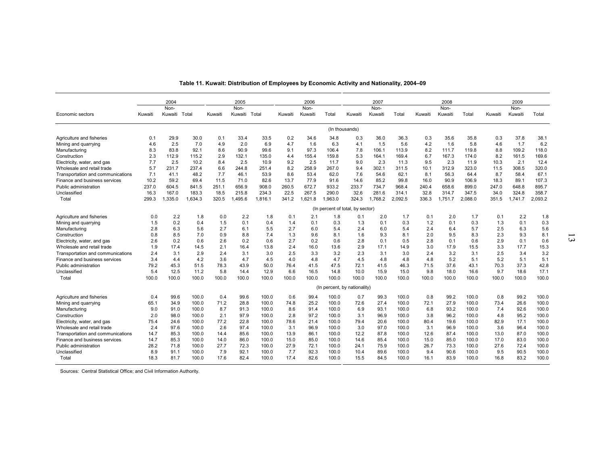|                                                   |         | 2004          |         |         | 2005          |         |         | 2006    |                |                                       | 2007         |         |         | 2008    |         |         | 2009    |         |
|---------------------------------------------------|---------|---------------|---------|---------|---------------|---------|---------|---------|----------------|---------------------------------------|--------------|---------|---------|---------|---------|---------|---------|---------|
|                                                   |         | Non-          |         |         | Non-          |         |         | Non-    |                |                                       | Non-         |         |         | Non-    |         |         | Non-    |         |
| Economic sectors                                  | Kuwaiti | Kuwaiti Total |         | Kuwaiti | Kuwaiti Total |         | Kuwaiti | Kuwaiti | Total          | Kuwaiti                               | Kuwaiti      | Total   | Kuwaiti | Kuwaiti | Total   | Kuwaiti | Kuwaiti | Total   |
|                                                   |         |               |         |         |               |         |         |         | (In thousands) |                                       |              |         |         |         |         |         |         |         |
| Agriculture and fisheries                         | 0.1     | 29.9          | 30.0    | 0.1     | 33.4          | 33.5    | 0.2     | 34.6    | 34.8           | 0.3                                   | 36.0         | 36.3    | 0.3     | 35.6    | 35.8    | 0.3     | 37.8    | 38.1    |
| Mining and quarrying                              | 4.6     | 2.5           | 7.0     | 4.9     | 2.0           | 6.9     | 4.7     | 1.6     | 6.3            | 4.1                                   | 1.5          | 5.6     | 4.2     | 1.6     | 5.8     | 4.6     | 1.7     | 6.2     |
| Manufacturing                                     | 8.3     | 83.8          | 92.1    | 8.6     | 90.9          | 99.6    | 9.1     | 97.3    | 106.4          | 7.8                                   | 106.1        | 113.9   | 8.2     | 111.7   | 119.8   | 8.8     | 109.2   | 118.0   |
| Construction                                      | 2.3     | 112.9         | 115.2   | 2.9     | 132.1         | 135.0   | 4.4     | 155.4   | 159.8          | 5.3                                   | 164.1        | 169.4   | 6.7     | 167.3   | 174.0   | 8.2     | 161.5   | 169.6   |
| Electricity, water, and gas                       | 7.7     | 2.5           | 10.2    | 8.4     | 2.5           | 10.9    | 9.2     | 2.5     | 11.7           | 9.0                                   | 2.3          | 11.3    | 9.5     | 2.3     | 11.9    | 10.3    | 2.1     | 12.4    |
| Wholesale and retail trade                        | 5.7     | 231.7         | 237.4   | 6.6     | 244.8         | 251.4   | 8.2     | 258.9   | 267.0          | 9.4                                   | 302.1        | 311.5   | 10.1    | 312.9   | 323.0   | 11.5    | 308.5   | 320.0   |
| Transportation and communications                 | 7.1     | 41.1          | 48.2    | 7.7     | 46.1          | 53.9    | 8.6     | 53.4    | 62.0           | 7.6                                   | 54.6         | 62.1    | 8.1     | 56.3    | 64.4    | 8.7     | 58.4    | 67.1    |
| Finance and business services                     | 10.2    | 59.2          | 69.4    | 11.5    | 71.0          | 82.6    | 13.7    | 77.9    | 91.6           | 14.6                                  | 85.2         | 99.8    | 16.0    | 90.9    | 106.9   | 18.3    | 89.1    | 107.3   |
| Public administration                             | 237.0   | 604.5         | 841.5   | 251.1   | 656.9         | 908.0   | 260.5   | 672.7   | 933.2          | 233.7                                 | 734.7        | 968.4   | 240.4   | 658.6   | 899.0   | 247.0   | 648.8   | 895.7   |
| Unclassified                                      | 16.3    | 167.0         | 183.3   | 18.5    | 215.8         | 234.3   | 22.5    | 267.5   | 290.0          | 32.6                                  | 281.6        | 314.1   | 32.8    | 314.7   | 347.5   | 34.0    | 324.8   | 358.7   |
| Total                                             | 299.3   | 1,335.0       | 1,634.3 | 320.5   | 1,495.6       | 1,816.1 | 341.2   | 1,621.8 | 1,963.0        | 324.3                                 | 1,768.2      | 2,092.5 | 336.3   | 1,751.7 | 2,088.0 | 351.5   | 1,741.7 | 2,093.2 |
|                                                   |         |               |         |         |               |         |         |         |                | (In percent of total, by sector)      |              |         |         |         |         |         |         |         |
| Agriculture and fisheries                         | 0.0     | 2.2           | 1.8     | 0.0     | 2.2           | 1.8     | 0.1     | 2.1     | 1.8            | 0.1                                   | 2.0          | 1.7     | 0.1     | 2.0     | 1.7     | 0.1     | 2.2     | 1.8     |
| Mining and quarrying                              | 1.5     | 0.2           | 0.4     | 1.5     | 0.1           | 0.4     | 1.4     | 0.1     | 0.3            | 1.3                                   | 0.1          | 0.3     | 1.2     | 0.1     | 0.3     | 1.3     | 0.1     | 0.3     |
| Manufacturing                                     | 2.8     | 6.3           | 5.6     | 2.7     | 6.1           | 5.5     | 2.7     | 6.0     | 5.4            | 2.4                                   | 6.0          | 5.4     | 2.4     | 6.4     | 5.7     | 2.5     | 6.3     | 5.6     |
| Construction                                      | 0.8     | 8.5           | 7.0     | 0.9     | 8.8           | 7.4     | 1.3     | 9.6     | 8.1            | 1.6                                   | 9.3          | 8.1     | 2.0     | 9.5     | 8.3     | 2.3     | 9.3     | 8.1     |
| Electricity, water, and gas                       | 2.6     | 0.2           | 0.6     | 2.6     | 0.2           | 0.6     | 2.7     | 0.2     | 0.6            | 2.8                                   | 0.1          | 0.5     | 2.8     | 0.1     | 0.6     | 2.9     | 0.1     | 0.6     |
| Wholesale and retail trade                        | 1.9     | 17.4          | 14.5    | 2.1     | 16.4          | 13.8    | 2.4     | 16.0    | 13.6           | 2.9                                   | 17.1         | 14.9    | 3.0     | 17.9    | 15.5    | 3.3     | 17.7    | 15.3    |
| Transportation and communications                 | 2.4     | 3.1           | 2.9     | 2.4     | 3.1           | 3.0     | 2.5     | 3.3     | 3.2            | 2.3                                   | 3.1          | 3.0     | 2.4     | 3.2     | 3.1     | 2.5     | 3.4     | 3.2     |
| Finance and business services                     | 3.4     | 4.4           | 4.2     | 3.6     | 4.7           | 4.5     | 4.0     | 4.8     | 4.7            | 4.5                                   | 4.8          | 4.8     | 4.8     | 5.2     | 5.1     | 5.2     | 5.1     | 5.1     |
| Public administration                             | 79.2    | 45.3          | 51.5    | 78.3    | 43.9          | 50.0    | 76.4    | 41.5    | 47.5           | 72.1                                  | 41.5<br>15.9 | 46.3    | 71.5    | 37.6    | 43.1    | 70.3    | 37.3    | 42.8    |
| Unclassified                                      | 5.4     | 12.5          | 11.2    | 5.8     | 14.4          | 12.9    | 6.6     | 16.5    | 14.8<br>100.0  | 10.0                                  |              | 15.0    | 9.8     | 18.0    | 16.6    | 9.7     | 18.6    | 17.1    |
| Total                                             | 100.0   | 100.0         | 100.0   | 100.0   | 100.0         | 100.0   | 100.0   | 100.0   |                | 100.0<br>(In percent, by nationality) | 100.0        | 100.0   | 100.0   | 100.0   | 100.0   | 100.0   | 100.0   | 100.0   |
|                                                   | 0.4     | 99.6          | 100.0   | 0.4     | 99.6          | 100.0   | 0.6     | 99.4    | 100.0          |                                       | 99.3         | 100.0   | 0.8     | 99.2    | 100.0   | 0.8     | 99.2    | 100.0   |
| Agriculture and fisheries<br>Mining and quarrying | 65.1    | 34.9          | 100.0   | 71.2    | 28.8          | 100.0   | 74.8    | 25.2    | 100.0          | 0.7<br>72.6                           | 27.4         | 100.0   | 72.1    | 27.9    | 100.0   | 73.4    | 26.6    | 100.0   |
| Manufacturing                                     | 9.0     | 91.0          | 100.0   | 8.7     | 91.3          | 100.0   | 8.6     | 91.4    | 100.0          | 6.9                                   | 93.1         | 100.0   | 6.8     | 93.2    | 100.0   | 7.4     | 92.6    | 100.0   |
| Construction                                      | 2.0     | 98.0          | 100.0   | 2.1     | 97.9          | 100.0   | 2.8     | 97.2    | 100.0          | 3.1                                   | 96.9         | 100.0   | 3.8     | 96.2    | 100.0   | 4.8     | 95.2    | 100.0   |
| Electricity, water, and gas                       | 75.4    | 24.6          | 100.0   | 77.2    | 22.8          | 100.0   | 78.6    | 21.4    | 100.0          | 79.4                                  | 20.6         | 100.0   | 80.4    | 19.6    | 100.0   | 82.9    | 17.1    | 100.0   |
| Wholesale and retail trade                        | 2.4     | 97.6          | 100.0   | 2.6     | 97.4          | 100.0   | 3.1     | 96.9    | 100.0          | 3.0                                   | 97.0         | 100.0   | 3.1     | 96.9    | 100.0   | 3.6     | 96.4    | 100.0   |
| Transportation and communications                 | 14.7    | 85.3          | 100.0   | 14.4    | 85.6          | 100.0   | 13.9    | 86.1    | 100.0          | 12.2                                  | 87.8         | 100.0   | 12.6    | 87.4    | 100.0   | 13.0    | 87.0    | 100.0   |
| Finance and business services                     | 14.7    | 85.3          | 100.0   | 14.0    | 86.0          | 100.0   | 15.0    | 85.0    | 100.0          | 14.6                                  | 85.4         | 100.0   | 15.0    | 85.0    | 100.0   | 17.0    | 83.0    | 100.0   |
| Public administration                             | 28.2    | 71.8          | 100.0   | 27.7    | 72.3          | 100.0   | 27.9    | 72.1    | 100.0          | 24.1                                  | 75.9         | 100.0   | 26.7    | 73.3    | 100.0   | 27.6    | 72.4    | 100.0   |
| Unclassified                                      | 8.9     | 91.1          | 100.0   | 7.9     | 92.1          | 100.0   | 7.7     | 92.3    | 100.0          | 10.4                                  | 89.6         | 100.0   | 9.4     | 90.6    | 100.0   | 9.5     | 90.5    | 100.0   |
| Total                                             | 18.3    | 81.7          | 100.0   | 17.6    | 82.4          | 100.0   | 17.4    | 82.6    | 100.0          | 15.5                                  | 84.5         | 100.0   | 16.1    | 83.9    | 100.0   | 16.8    | 83.2    | 100.0   |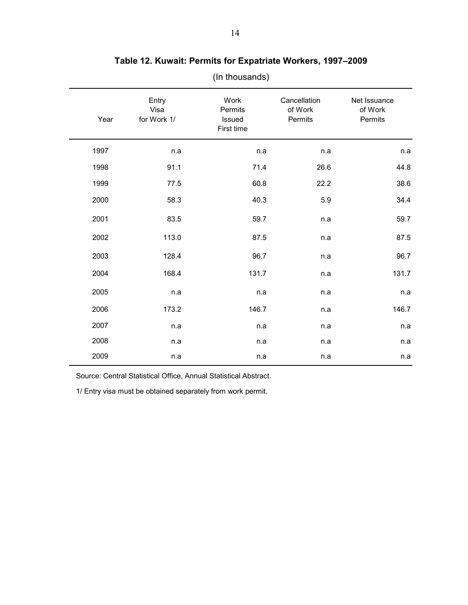| Year | Entry<br>Visa<br>for Work 1/ | Work<br>Permits<br>Issued<br>First time | Cancellation<br>of Work<br>Permits | Net Issuance<br>of Work<br>Permits |
|------|------------------------------|-----------------------------------------|------------------------------------|------------------------------------|
| 1997 | n.a                          | n.a                                     | n.a                                | n.a                                |
| 1998 | 91.1                         | 71.4                                    | 26.6                               | 44.8                               |
| 1999 | 77.5                         | 60.8                                    | 22.2                               | 38.6                               |
| 2000 | 58.3                         | 40.3                                    | 5.9                                | 34.4                               |
| 2001 | 83.5                         | 59.7                                    | n.a                                | 59.7                               |
| 2002 | 113.0                        | 87.5                                    | n.a                                | 87.5                               |
| 2003 | 128.4                        | 96.7                                    | n.a                                | 96.7                               |
| 2004 | 168.4                        | 131.7                                   | n.a                                | 131.7                              |
| 2005 | n.a                          | n.a                                     | n.a                                | n.a                                |
| 2006 | 173.2                        | 146.7                                   | n.a                                | 146.7                              |
| 2007 | n.a                          | n.a                                     | n.a                                | n.a                                |
| 2008 | n.a                          | n.a                                     | n.a                                | n.a                                |
| 2009 | n.a                          | n.a                                     | n.a                                | n.a                                |

# **Table 12. Kuwait: Permits for Expatriate Workers, 1997–2009**

(In thousands)

Source: Central Statistical Office, Annual Statistical Abstract.

1/ Entry visa must be obtained separately from work permit.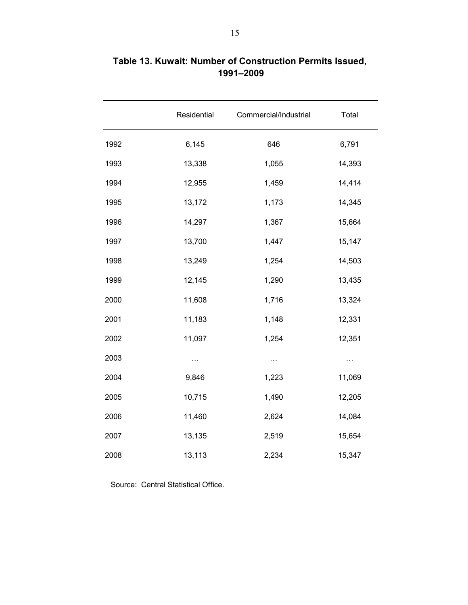| Residential | Commercial/Industrial | Total    |
|-------------|-----------------------|----------|
| 6,145       | 646                   | 6,791    |
| 13,338      | 1,055                 | 14,393   |
| 12,955      | 1,459                 | 14,414   |
| 13,172      | 1,173                 | 14,345   |
| 14,297      | 1,367                 | 15,664   |
| 13,700      | 1,447                 | 15,147   |
| 13,249      | 1,254                 | 14,503   |
| 12,145      | 1,290                 | 13,435   |
| 11,608      | 1,716                 | 13,324   |
| 11,183      | 1,148                 | 12,331   |
| 11,097      | 1,254                 | 12,351   |
| $\cdots$    | $\cdots$              | $\cdots$ |
| 9,846       | 1,223                 | 11,069   |
| 10,715      | 1,490                 | 12,205   |
| 11,460      | 2,624                 | 14,084   |
| 13,135      | 2,519                 | 15,654   |
| 13,113      | 2,234                 | 15,347   |
|             |                       |          |

# **Table 13. Kuwait: Number of Construction Permits Issued, 1991–2009**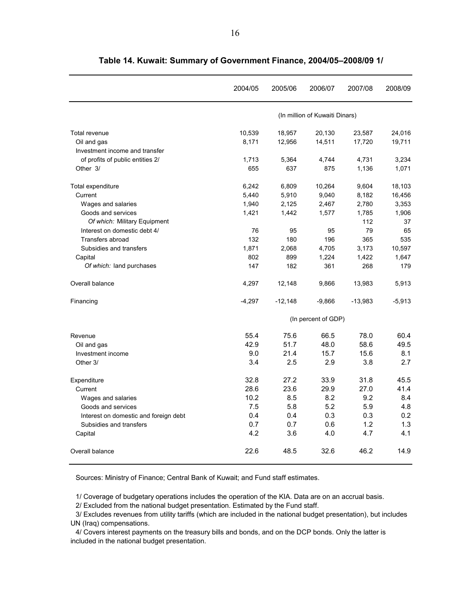|                                       | 2004/05  | 2005/06   | 2006/07                        | 2007/08   | 2008/09  |
|---------------------------------------|----------|-----------|--------------------------------|-----------|----------|
|                                       |          |           | (In million of Kuwaiti Dinars) |           |          |
| Total revenue                         | 10,539   | 18,957    | 20,130                         | 23,587    | 24,016   |
| Oil and gas                           | 8,171    | 12,956    | 14,511                         | 17,720    | 19,711   |
| Investment income and transfer        |          |           |                                |           |          |
| of profits of public entities 2/      | 1,713    | 5,364     | 4,744                          | 4,731     | 3,234    |
| Other 3/                              | 655      | 637       | 875                            | 1,136     | 1,071    |
| Total expenditure                     | 6,242    | 6,809     | 10,264                         | 9,604     | 18,103   |
| Current                               | 5,440    | 5,910     | 9,040                          | 8,182     | 16,456   |
| Wages and salaries                    | 1,940    | 2,125     | 2,467                          | 2,780     | 3,353    |
| Goods and services                    | 1,421    | 1,442     | 1,577                          | 1,785     | 1,906    |
| Of which: Military Equipment          |          |           |                                | 112       | 37       |
| Interest on domestic debt 4/          | 76       | 95        | 95                             | 79        | 65       |
| Transfers abroad                      | 132      | 180       | 196                            | 365       | 535      |
| Subsidies and transfers               | 1,871    | 2,068     | 4,705                          | 3,173     | 10,597   |
| Capital                               | 802      | 899       | 1,224                          | 1,422     | 1,647    |
| Of which: land purchases              | 147      | 182       | 361                            | 268       | 179      |
| Overall balance                       | 4,297    | 12,148    | 9,866                          | 13,983    | 5,913    |
| Financing                             | $-4,297$ | $-12,148$ | $-9,866$                       | $-13,983$ | $-5,913$ |
|                                       |          |           | (In percent of GDP)            |           |          |
| Revenue                               | 55.4     | 75.6      | 66.5                           | 78.0      | 60.4     |
| Oil and gas                           | 42.9     | 51.7      | 48.0                           | 58.6      | 49.5     |
| Investment income                     | 9.0      | 21.4      | 15.7                           | 15.6      | 8.1      |
| Other 3/                              | 3.4      | 2.5       | 2.9                            | 3.8       | 2.7      |
| Expenditure                           | 32.8     | 27.2      | 33.9                           | 31.8      | 45.5     |
| Current                               | 28.6     | 23.6      | 29.9                           | 27.0      | 41.4     |
| Wages and salaries                    | 10.2     | 8.5       | 8.2                            | 9.2       | 8.4      |
| Goods and services                    | 7.5      | 5.8       | 5.2                            | 5.9       | 4.8      |
| Interest on domestic and foreign debt | 0.4      | 0.4       | 0.3                            | 0.3       | 0.2      |
| Subsidies and transfers               | 0.7      | 0.7       | 0.6                            | 1.2       | 1.3      |
| Capital                               | 4.2      | 3.6       | 4.0                            | 4.7       | 4.1      |
| Overall balance                       | 22.6     | 48.5      | 32.6                           | 46.2      | 14.9     |

**Table 14. Kuwait: Summary of Government Finance, 2004/05–2008/09 1/**

Sources: Ministry of Finance; Central Bank of Kuwait; and Fund staff estimates.

1/ Coverage of budgetary operations includes the operation of the KIA. Data are on an accrual basis.

2/ Excluded from the national budget presentation. Estimated by the Fund staff.

3/ Excludes revenues from utility tariffs (which are included in the national budget presentation), but includes UN (Iraq) compensations.

4/ Covers interest payments on the treasury bills and bonds, and on the DCP bonds. Only the latter is included in the national budget presentation.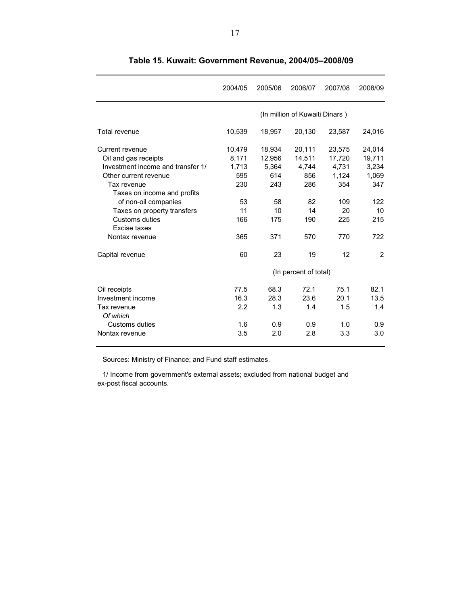|                                                                                                                                                                                                                                                                | 2004/05                                                          | 2005/06                                                           | 2006/07                                                           | 2007/08                                                              | 2008/09                                                              |
|----------------------------------------------------------------------------------------------------------------------------------------------------------------------------------------------------------------------------------------------------------------|------------------------------------------------------------------|-------------------------------------------------------------------|-------------------------------------------------------------------|----------------------------------------------------------------------|----------------------------------------------------------------------|
|                                                                                                                                                                                                                                                                |                                                                  |                                                                   | (In million of Kuwaiti Dinars)                                    |                                                                      |                                                                      |
| Total revenue                                                                                                                                                                                                                                                  | 10,539                                                           | 18,957                                                            | 20,130                                                            | 23,587                                                               | 24,016                                                               |
| Current revenue<br>Oil and gas receipts<br>Investment income and transfer 1/<br>Other current revenue<br>Tax revenue<br>Taxes on income and profits<br>of non-oil companies<br>Taxes on property transfers<br>Customs duties<br>Excise taxes<br>Nontax revenue | 10,479<br>8,171<br>1,713<br>595<br>230<br>53<br>11<br>166<br>365 | 18,934<br>12,956<br>5,364<br>614<br>243<br>58<br>10<br>175<br>371 | 20,111<br>14,511<br>4,744<br>856<br>286<br>82<br>14<br>190<br>570 | 23,575<br>17,720<br>4,731<br>1,124<br>354<br>109<br>20<br>225<br>770 | 24,014<br>19,711<br>3,234<br>1.069<br>347<br>122<br>10<br>215<br>722 |
| Capital revenue                                                                                                                                                                                                                                                | 60                                                               | 23                                                                | 19                                                                | 12                                                                   | 2                                                                    |
|                                                                                                                                                                                                                                                                |                                                                  |                                                                   | (In percent of total)                                             |                                                                      |                                                                      |
| Oil receipts<br>Investment income<br>Tax revenue<br>Of which<br>Customs duties<br>Nontax revenue                                                                                                                                                               | 77.5<br>16.3<br>2.2<br>1.6<br>3.5                                | 68.3<br>28.3<br>1.3<br>0.9<br>2.0                                 | 72.1<br>23.6<br>1.4<br>0.9<br>2.8                                 | 75.1<br>20.1<br>1.5<br>1.0<br>3.3                                    | 82.1<br>13.5<br>1.4<br>0.9<br>3.0                                    |

**Table 15. Kuwait: Government Revenue, 2004/05–2008/09**

Sources: Ministry of Finance; and Fund staff estimates.

1/ Income from government's external assets; excluded from national budget and ex-post fiscal accounts.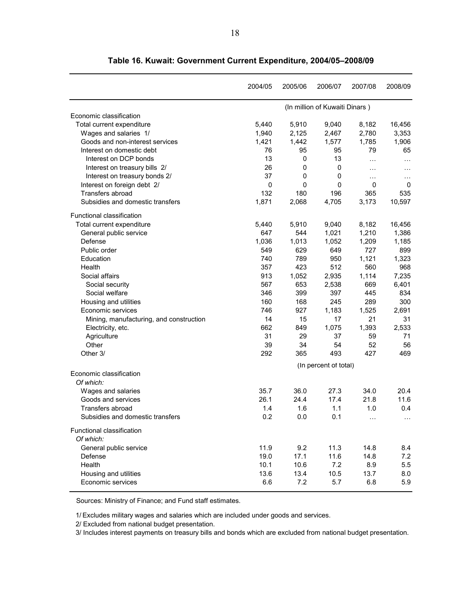|                                         | 2004/05     | 2005/06     | 2006/07                        | 2007/08  | 2008/09   |
|-----------------------------------------|-------------|-------------|--------------------------------|----------|-----------|
|                                         |             |             | (In million of Kuwaiti Dinars) |          |           |
| Economic classification                 |             |             |                                |          |           |
| Total current expenditure               | 5,440       | 5,910       | 9,040                          | 8,182    | 16,456    |
| Wages and salaries 1/                   | 1,940       | 2,125       | 2,467                          | 2,780    | 3,353     |
| Goods and non-interest services         | 1,421       | 1,442       | 1,577                          | 1,785    | 1,906     |
| Interest on domestic debt               | 76          | 95          | 95                             | 79       | 65        |
| Interest on DCP bonds                   | 13          | 0           | 13                             | $\cdots$ | $\ddotsc$ |
| Interest on treasury bills 2/           | 26          | 0           | 0                              | $\cdots$ | $\cdots$  |
| Interest on treasury bonds 2/           | 37          | 0           | 0                              | $\cdots$ | $\ddotsc$ |
| Interest on foreign debt 2/             | $\mathbf 0$ | $\mathbf 0$ | 0                              | 0        | 0         |
| <b>Transfers abroad</b>                 | 132         | 180         | 196                            | 365      | 535       |
| Subsidies and domestic transfers        | 1,871       | 2,068       | 4,705                          | 3,173    | 10,597    |
| Functional classification               |             |             |                                |          |           |
| Total current expenditure               | 5,440       | 5,910       | 9,040                          | 8,182    | 16,456    |
| General public service                  | 647         | 544         | 1,021                          | 1,210    | 1,386     |
| Defense                                 | 1,036       | 1,013       | 1,052                          | 1,209    | 1,185     |
| Public order                            | 549         | 629         | 649                            | 727      | 899       |
| Education                               | 740         | 789         | 950                            | 1,121    | 1,323     |
| Health                                  | 357         | 423         | 512                            | 560      | 968       |
| Social affairs                          | 913         | 1,052       | 2,935                          | 1,114    | 7,235     |
| Social security                         | 567         | 653         | 2,538                          | 669      | 6,401     |
| Social welfare                          | 346         | 399         | 397                            | 445      | 834       |
| Housing and utilities                   | 160         | 168         | 245                            | 289      | 300       |
| Economic services                       | 746         | 927         | 1,183                          | 1,525    | 2,691     |
| Mining, manufacturing, and construction | 14          | 15          | 17                             | 21       | 31        |
| Electricity, etc.                       | 662         | 849         | 1,075                          | 1,393    | 2,533     |
| Agriculture                             | 31          | 29          | 37                             | 59       | 71        |
| Other                                   | 39          | 34          | 54                             | 52       | 56        |
| Other 3/                                | 292         | 365         | 493                            | 427      | 469       |
|                                         |             |             | (In percent of total)          |          |           |
| Economic classification<br>Of which:    |             |             |                                |          |           |
| Wages and salaries                      | 35.7        | 36.0        | 27.3                           | 34.0     | 20.4      |
| Goods and services                      | 26.1        | 24.4        | 17.4                           | 21.8     | 11.6      |
| Transfers abroad                        | 1.4         | 1.6         | 1.1                            | 1.0      | 0.4       |
| Subsidies and domestic transfers        | 0.2         | 0.0         | 0.1                            |          |           |
| Functional classification               |             |             |                                |          |           |
| Of which:                               |             |             |                                |          |           |
| General public service                  | 11.9        | 9.2         | 11.3                           | 14.8     | 8.4       |
| Defense                                 | 19.0        | 17.1        | 11.6                           | 14.8     | 7.2       |
| Health                                  | 10.1        | 10.6        | 7.2                            | 8.9      | 5.5       |
| Housing and utilities                   | 13.6        | 13.4        | 10.5                           | 13.7     | 8.0       |
| Economic services                       | 6.6         | 7.2         | 5.7                            | 6.8      | 5.9       |

**Table 16. Kuwait: Government Current Expenditure, 2004/05–2008/09**

Sources: Ministry of Finance; and Fund staff estimates.

1/ Excludes military wages and salaries which are included under goods and services.

2/ Excluded from national budget presentation.

3/ Includes interest payments on treasury bills and bonds which are excluded from national budget presentation.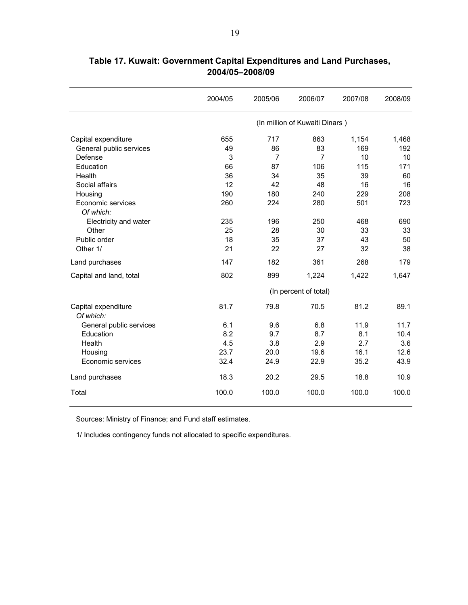|                                  | 2004/05               | 2005/06        | 2006/07                        | 2007/08 | 2008/09 |  |  |  |  |
|----------------------------------|-----------------------|----------------|--------------------------------|---------|---------|--|--|--|--|
|                                  |                       |                | (In million of Kuwaiti Dinars) |         |         |  |  |  |  |
| Capital expenditure              | 655                   | 717            | 863                            | 1,154   | 1,468   |  |  |  |  |
| General public services          | 49                    | 86             | 83                             | 169     | 192     |  |  |  |  |
| Defense                          | 3                     | $\overline{7}$ | $\overline{7}$                 | 10      | 10      |  |  |  |  |
| Education                        | 66                    | 87             | 106                            | 115     | 171     |  |  |  |  |
| Health                           | 36                    | 34             | 35                             | 39      | 60      |  |  |  |  |
| Social affairs                   | 12                    | 42             | 48                             | 16      | 16      |  |  |  |  |
| Housing                          | 190                   | 180            | 240                            | 229     | 208     |  |  |  |  |
| Economic services                | 260                   | 224            | 280                            | 501     | 723     |  |  |  |  |
| Of which:                        |                       |                |                                |         |         |  |  |  |  |
| Electricity and water            | 235                   | 196            | 250                            | 468     | 690     |  |  |  |  |
| Other                            | 25                    | 28             | 30                             | 33      | 33      |  |  |  |  |
| Public order                     | 18                    | 35             | 37                             | 43      | 50      |  |  |  |  |
| Other 1/                         | 21                    | 22             | 27                             | 32      | 38      |  |  |  |  |
| Land purchases                   | 147                   | 182            | 361                            | 268     | 179     |  |  |  |  |
| Capital and land, total          | 802                   | 899            | 1,224                          | 1,422   | 1,647   |  |  |  |  |
|                                  | (In percent of total) |                |                                |         |         |  |  |  |  |
| Capital expenditure<br>Of which: | 81.7                  | 79.8           | 70.5                           | 81.2    | 89.1    |  |  |  |  |
| General public services          | 6.1                   | 9.6            | 6.8                            | 11.9    | 11.7    |  |  |  |  |
| Education                        | 8.2                   | 9.7            | 8.7                            | 8.1     | 10.4    |  |  |  |  |
| Health                           | 4.5                   | 3.8            | 2.9                            | 2.7     | 3.6     |  |  |  |  |
| Housing                          | 23.7                  | 20.0           | 19.6                           | 16.1    | 12.6    |  |  |  |  |
| Economic services                | 32.4                  | 24.9           | 22.9                           | 35.2    | 43.9    |  |  |  |  |
| Land purchases                   | 18.3                  | 20.2           | 29.5                           | 18.8    | 10.9    |  |  |  |  |
| Total                            | 100.0                 | 100.0          | 100.0                          | 100.0   | 100.0   |  |  |  |  |

**Table 17. Kuwait: Government Capital Expenditures and Land Purchases, 2004/05–2008/09**

Sources: Ministry of Finance; and Fund staff estimates.

1/ Includes contingency funds not allocated to specific expenditures.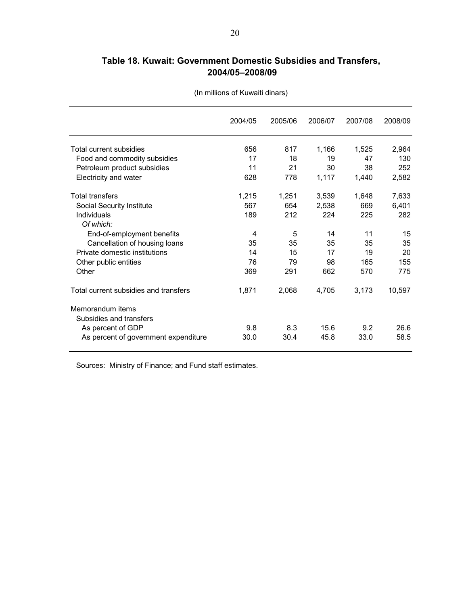# **Table 18. Kuwait: Government Domestic Subsidies and Transfers, 2004/05–2008/09**

|                                             | 2004/05 | 2005/06 | 2006/07 | 2007/08 | 2008/09 |
|---------------------------------------------|---------|---------|---------|---------|---------|
| Total current subsidies                     | 656     | 817     | 1,166   | 1,525   | 2,964   |
| Food and commodity subsidies                | 17      | 18      | 19      | 47      | 130     |
| Petroleum product subsidies                 | 11      | 21      | 30      | 38      | 252     |
| Electricity and water                       | 628     | 778     | 1,117   | 1,440   | 2,582   |
| <b>Total transfers</b>                      | 1,215   | 1,251   | 3,539   | 1,648   | 7,633   |
| Social Security Institute                   | 567     | 654     | 2,538   | 669     | 6,401   |
| Individuals<br>Of which:                    | 189     | 212     | 224     | 225     | 282     |
| End-of-employment benefits                  | 4       | 5       | 14      | 11      | 15      |
| Cancellation of housing loans               | 35      | 35      | 35      | 35      | 35      |
| Private domestic institutions               | 14      | 15      | 17      | 19      | 20      |
| Other public entities                       | 76      | 79      | 98      | 165     | 155     |
| Other                                       | 369     | 291     | 662     | 570     | 775     |
| Total current subsidies and transfers       | 1.871   | 2,068   | 4,705   | 3,173   | 10,597  |
| Memorandum items<br>Subsidies and transfers |         |         |         |         |         |
| As percent of GDP                           | 9.8     | 8.3     | 15.6    | 9.2     | 26.6    |
| As percent of government expenditure        | 30.0    | 30.4    | 45.8    | 33.0    | 58.5    |

(In millions of Kuwaiti dinars)

Sources: Ministry of Finance; and Fund staff estimates.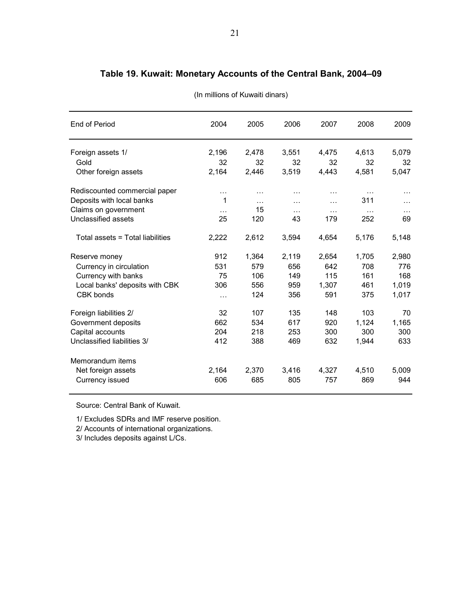| End of Period                    | 2004     | 2005     | 2006     | 2007     | 2008     | 2009      |
|----------------------------------|----------|----------|----------|----------|----------|-----------|
| Foreign assets 1/                | 2,196    | 2,478    | 3,551    | 4,475    | 4,613    | 5,079     |
| Gold                             | 32       | 32       | 32       | 32       | 32       | 32        |
| Other foreign assets             | 2,164    | 2,446    | 3,519    | 4,443    | 4,581    | 5,047     |
| Rediscounted commercial paper    | $\cdots$ | $\cdots$ | $\cdots$ | $\cdots$ | $\cdots$ | $\ddotsc$ |
| Deposits with local banks        | 1        | $\cdots$ | $\cdots$ | .        | 311      | .         |
| Claims on government             | $\cdots$ | 15       | $\cdots$ | $\cdots$ | $\cdots$ | $\cdots$  |
| <b>Unclassified assets</b>       | 25       | 120      | 43       | 179      | 252      | 69        |
| Total assets = Total liabilities | 2,222    | 2,612    | 3,594    | 4,654    | 5,176    | 5,148     |
| Reserve money                    | 912      | 1,364    | 2,119    | 2,654    | 1,705    | 2,980     |
| Currency in circulation          | 531      | 579      | 656      | 642      | 708      | 776       |
| Currency with banks              | 75       | 106      | 149      | 115      | 161      | 168       |
| Local banks' deposits with CBK   | 306      | 556      | 959      | 1,307    | 461      | 1,019     |
| CBK bonds                        | $\cdots$ | 124      | 356      | 591      | 375      | 1,017     |
| Foreign liabilities 2/           | 32       | 107      | 135      | 148      | 103      | 70        |
| Government deposits              | 662      | 534      | 617      | 920      | 1,124    | 1,165     |
| Capital accounts                 | 204      | 218      | 253      | 300      | 300      | 300       |
| Unclassified liabilities 3/      | 412      | 388      | 469      | 632      | 1,944    | 633       |
| Memorandum items                 |          |          |          |          |          |           |

Net foreign assets 2,164 2,370 3,416 4,327 4,510 5,009 Currency issued 606 685 805 757 869 944

# **Table 19. Kuwait: Monetary Accounts of the Central Bank, 2004–09**

(In millions of Kuwaiti dinars)

Source: Central Bank of Kuwait.

1/ Excludes SDRs and IMF reserve position.

2/ Accounts of international organizations.

3/ Includes deposits against L/Cs.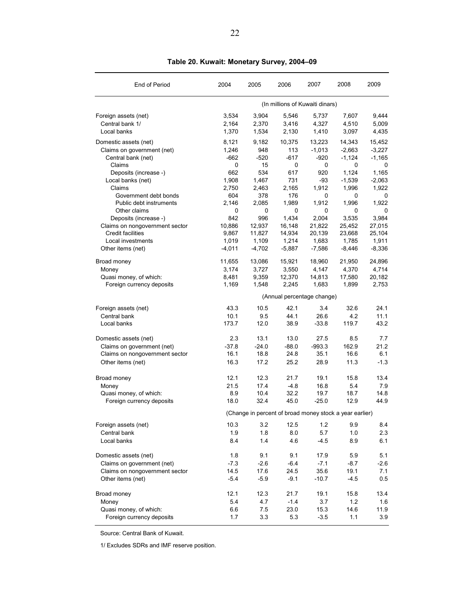| End of Period                                           | 2004          | 2005          | 2006                            | 2007            | 2008                                                    | 2009            |
|---------------------------------------------------------|---------------|---------------|---------------------------------|-----------------|---------------------------------------------------------|-----------------|
|                                                         |               |               | (In millions of Kuwaiti dinars) |                 |                                                         |                 |
| Foreign assets (net)                                    | 3.534         | 3,904         | 5,546                           | 5,737           | 7,607                                                   | 9,444           |
| Central bank 1/                                         | 2,164         | 2,370         | 3,416                           | 4,327           | 4,510                                                   | 5,009           |
| Local banks                                             | 1,370         | 1,534         | 2,130                           | 1,410           | 3,097                                                   | 4,435           |
| Domestic assets (net)                                   | 8,121         | 9,182         | 10,375                          | 13,223          | 14,343                                                  | 15,452          |
| Claims on government (net)                              | 1,246         | 948           | 113                             | $-1,013$        | $-2,663$                                                | $-3,227$        |
| Central bank (net)                                      | -662          | $-520$        | $-617$                          | -920            | $-1,124$                                                | $-1,165$        |
| Claims                                                  | 0             | 15            | 0                               | 0               | 0                                                       | 0               |
| Deposits (increase -)                                   | 662           | 534           | 617                             | 920             | 1,124                                                   | 1.165           |
| Local banks (net)                                       | 1,908         | 1,467         | 731                             | -93             | $-1,539$                                                | $-2,063$        |
| Claims                                                  | 2,750         | 2,463         | 2,165                           | 1,912           | 1,996                                                   | 1,922           |
| Government debt bonds                                   | 604           | 378           | 176                             | 0               | 0                                                       | 0               |
| Public debt instruments                                 | 2,146         | 2,085         | 1,989                           | 1,912           | 1,996                                                   | 1,922           |
| Other claims                                            | 0             | 0             | 0                               | 0               | 0                                                       | 0               |
| Deposits (increase -)<br>Claims on nongovernment sector | 842<br>10,886 | 996<br>12,937 | 1,434<br>16,148                 | 2,004<br>21,822 | 3,535<br>25,452                                         | 3,984<br>27,015 |
| <b>Credit facilities</b>                                | 9.867         | 11,827        | 14,934                          | 20,139          | 23,668                                                  | 25,104          |
| Local investments                                       | 1,019         | 1,109         | 1,214                           | 1,683           | 1,785                                                   | 1,911           |
| Other items (net)                                       | $-4,011$      | $-4,702$      | $-5,887$                        | $-7,586$        | $-8,446$                                                | $-8,336$        |
|                                                         |               |               |                                 |                 |                                                         |                 |
| Broad money                                             | 11,655        | 13,086        | 15,921                          | 18,960          | 21,950                                                  | 24,896          |
| Money                                                   | 3,174         | 3,727         | 3,550                           | 4,147           | 4,370                                                   | 4,714           |
| Quasi money, of which:                                  | 8,481         | 9,359         | 12,370                          | 14,813          | 17,580                                                  | 20,182          |
| Foreign currency deposits                               | 1,169         | 1,548         | 2,245                           | 1,683           | 1,899                                                   | 2,753           |
|                                                         |               |               | (Annual percentage change)      |                 |                                                         |                 |
| Foreign assets (net)                                    | 43.3          | 10.5          | 42.1                            | 3.4             | 32.6                                                    | 24.1            |
| Central bank                                            | 10.1          | 9.5           | 44.1                            | 26.6            | 4.2                                                     | 11.1            |
| Local banks                                             | 173.7         | 12.0          | 38.9                            | $-33.8$         | 119.7                                                   | 43.2            |
| Domestic assets (net)                                   | 2.3           | 13.1          | 13.0                            | 27.5            | 8.5                                                     | 7.7             |
| Claims on government (net)                              | $-37.8$       | $-24.0$       | $-88.0$                         | $-993.3$        | 162.9                                                   | 21.2            |
| Claims on nongovernment sector                          | 16.1          | 18.8          | 24.8                            | 35.1            | 16.6                                                    | 6.1             |
| Other items (net)                                       | 16.3          | 17.2          | 25.2                            | 28.9            | 11.3                                                    | $-1.3$          |
| Broad money                                             | 12.1          | 12.3          | 21.7                            | 19.1            | 15.8                                                    | 13.4            |
| Money                                                   | 21.5          | 17.4          | $-4.8$                          | 16.8            | 5.4                                                     | 7.9             |
| Quasi money, of which:                                  | 8.9           | 10.4          | 32.2                            | 19.7            | 18.7                                                    | 14.8            |
| Foreign currency deposits                               | 18.0          | 32.4          | 45.0                            | $-25.0$         | 12.9                                                    | 44.9            |
|                                                         |               |               |                                 |                 | (Change in percent of broad money stock a year earlier) |                 |
| Foreign assets (net)                                    | 10.3          | 3.2           | 12.5                            | 1.2             | 9.9                                                     | 8.4             |
| Central bank                                            | 1.9           | 1.8           | 8.0                             | 5.7             | 1.0                                                     | 2.3             |
| Local banks                                             | 8.4           | 1.4           | 4.6                             | $-4.5$          | 8.9                                                     | 6.1             |
| Domestic assets (net)                                   | 1.8           | 9.1           | 9.1                             | 17.9            | 5.9                                                     | 5.1             |
| Claims on government (net)                              | $-7.3$        | $-2.6$        | $-6.4$                          | $-7.1$          | $-8.7$                                                  | $-2.6$          |
| Claims on nongovernment sector                          | 14.5          | 17.6          | 24.5                            | 35.6            | 19.1                                                    | 7.1             |
| Other items (net)                                       | $-5.4$        | $-5.9$        | $-9.1$                          | $-10.7$         | $-4.5$                                                  | 0.5             |
| Broad money                                             | 12.1          | 12.3          | 21.7                            | 19.1            | 15.8                                                    | 13.4            |
| Money                                                   | 5.4           | 4.7           | $-1.4$                          | 3.7             | 1.2                                                     | 1.6             |
| Quasi money, of which:                                  | 6.6           | 7.5           | 23.0                            | 15.3            | 14.6                                                    | 11.9            |
| Foreign currency deposits                               | 1.7           | 3.3           | 5.3                             | $-3.5$          | 1.1                                                     | 3.9             |

**Table 20. Kuwait: Monetary Survey, 2004–09**

Source: Central Bank of Kuwait.

1/ Excludes SDRs and IMF reserve position.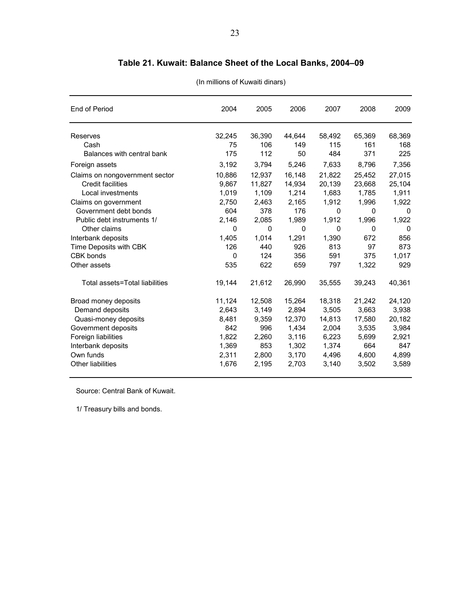| End of Period                  | 2004   | 2005   | 2006   | 2007     | 2008   | 2009     |
|--------------------------------|--------|--------|--------|----------|--------|----------|
| Reserves                       | 32,245 | 36,390 | 44,644 | 58,492   | 65,369 | 68,369   |
| Cash                           | 75     | 106    | 149    | 115      | 161    | 168      |
| Balances with central bank     | 175    | 112    | 50     | 484      | 371    | 225      |
| Foreign assets                 | 3,192  | 3,794  | 5,246  | 7,633    | 8,796  | 7,356    |
| Claims on nongovernment sector | 10,886 | 12,937 | 16,148 | 21,822   | 25,452 | 27,015   |
| <b>Credit facilities</b>       | 9,867  | 11,827 | 14,934 | 20,139   | 23,668 | 25,104   |
| Local investments              | 1,019  | 1,109  | 1,214  | 1,683    | 1,785  | 1,911    |
| Claims on government           | 2,750  | 2,463  | 2,165  | 1,912    | 1,996  | 1,922    |
| Government debt bonds          | 604    | 378    | 176    | $\Omega$ | 0      | $\Omega$ |
| Public debt instruments 1/     | 2,146  | 2,085  | 1,989  | 1,912    | 1,996  | 1,922    |
| Other claims                   | 0      | 0      | 0      | 0        | 0      | $\Omega$ |
| Interbank deposits             | 1,405  | 1,014  | 1,291  | 1,390    | 672    | 856      |
| Time Deposits with CBK         | 126    | 440    | 926    | 813      | 97     | 873      |
| CBK bonds                      | 0      | 124    | 356    | 591      | 375    | 1,017    |
| Other assets                   | 535    | 622    | 659    | 797      | 1,322  | 929      |
| Total assets=Total liabilities | 19,144 | 21,612 | 26,990 | 35,555   | 39,243 | 40,361   |
| Broad money deposits           | 11,124 | 12,508 | 15,264 | 18,318   | 21,242 | 24,120   |
| Demand deposits                | 2,643  | 3,149  | 2,894  | 3,505    | 3,663  | 3,938    |
| Quasi-money deposits           | 8,481  | 9,359  | 12,370 | 14,813   | 17,580 | 20,182   |
| Government deposits            | 842    | 996    | 1,434  | 2,004    | 3,535  | 3,984    |
| Foreign liabilities            | 1,822  | 2,260  | 3,116  | 6,223    | 5,699  | 2,921    |
| Interbank deposits             | 1,369  | 853    | 1,302  | 1,374    | 664    | 847      |
| Own funds                      | 2,311  | 2,800  | 3,170  | 4,496    | 4,600  | 4,899    |
| Other liabilities              | 1,676  | 2,195  | 2,703  | 3,140    | 3,502  | 3,589    |

# **Table 21. Kuwait: Balance Sheet of the Local Banks, 2004–09**

(In millions of Kuwaiti dinars)

Source: Central Bank of Kuwait.

1/ Treasury bills and bonds.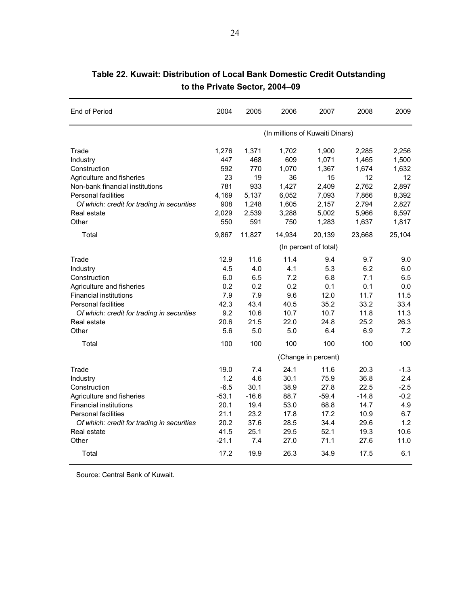| End of Period                              | 2004                  | 2005    | 2006   | 2007                            | 2008    | 2009   |  |  |
|--------------------------------------------|-----------------------|---------|--------|---------------------------------|---------|--------|--|--|
|                                            |                       |         |        | (In millions of Kuwaiti Dinars) |         |        |  |  |
| Trade                                      | 1,276                 | 1,371   | 1,702  | 1,900                           | 2,285   | 2.256  |  |  |
| Industry                                   | 447                   | 468     | 609    | 1,071                           | 1,465   | 1,500  |  |  |
| Construction                               | 592                   | 770     | 1,070  | 1,367                           | 1,674   | 1,632  |  |  |
| Agriculture and fisheries                  | 23                    | 19      | 36     | 15                              | 12      | 12     |  |  |
| Non-bank financial institutions            | 781                   | 933     | 1,427  | 2,409                           | 2,762   | 2,897  |  |  |
| Personal facilities                        | 4,169                 | 5,137   | 6,052  | 7,093                           | 7,866   | 8,392  |  |  |
| Of which: credit for trading in securities | 908                   | 1,248   | 1,605  | 2,157                           | 2,794   | 2,827  |  |  |
| Real estate                                | 2,029                 | 2,539   | 3,288  | 5,002                           | 5,966   | 6,597  |  |  |
| Other                                      | 550                   | 591     | 750    | 1,283                           | 1,637   | 1,817  |  |  |
| Total                                      | 9,867                 | 11,827  | 14,934 | 20,139                          | 23,668  | 25,104 |  |  |
|                                            | (In percent of total) |         |        |                                 |         |        |  |  |
| Trade                                      | 12.9                  | 11.6    | 11.4   | 9.4                             | 9.7     | 9.0    |  |  |
| Industry                                   | 4.5                   | 4.0     | 4.1    | 5.3                             | 6.2     | 6.0    |  |  |
| Construction                               | 6.0                   | 6.5     | 7.2    | 6.8                             | 7.1     | 6.5    |  |  |
| Agriculture and fisheries                  | 0.2                   | 0.2     | 0.2    | 0.1                             | 0.1     | 0.0    |  |  |
| <b>Financial institutions</b>              | 7.9                   | 7.9     | 9.6    | 12.0                            | 11.7    | 11.5   |  |  |
| <b>Personal facilities</b>                 | 42.3                  | 43.4    | 40.5   | 35.2                            | 33.2    | 33.4   |  |  |
| Of which: credit for trading in securities | 9.2                   | 10.6    | 10.7   | 10.7                            | 11.8    | 11.3   |  |  |
| Real estate                                | 20.6                  | 21.5    | 22.0   | 24.8                            | 25.2    | 26.3   |  |  |
| Other                                      | 5.6                   | 5.0     | 5.0    | 6.4                             | 6.9     | 7.2    |  |  |
| Total                                      | 100                   | 100     | 100    | 100                             | 100     | 100    |  |  |
|                                            |                       |         |        | (Change in percent)             |         |        |  |  |
| Trade                                      | 19.0                  | 7.4     | 24.1   | 11.6                            | 20.3    | $-1.3$ |  |  |
| Industry                                   | 1.2                   | 4.6     | 30.1   | 75.9                            | 36.8    | 2.4    |  |  |
| Construction                               | $-6.5$                | 30.1    | 38.9   | 27.8                            | 22.5    | $-2.5$ |  |  |
| Agriculture and fisheries                  | $-53.1$               | $-16.6$ | 88.7   | $-59.4$                         | $-14.8$ | $-0.2$ |  |  |
| <b>Financial institutions</b>              | 20.1                  | 19.4    | 53.0   | 68.8                            | 14.7    | 4.9    |  |  |
| <b>Personal facilities</b>                 | 21.1                  | 23.2    | 17.8   | 17.2                            | 10.9    | 6.7    |  |  |
| Of which: credit for trading in securities | 20.2                  | 37.6    | 28.5   | 34.4                            | 29.6    | 1.2    |  |  |
| Real estate                                | 41.5                  | 25.1    | 29.5   | 52.1                            | 19.3    | 10.6   |  |  |
| Other                                      | $-21.1$               | 7.4     | 27.0   | 71.1                            | 27.6    | 11.0   |  |  |
| Total                                      | 17.2                  | 19.9    | 26.3   | 34.9                            | 17.5    | 6.1    |  |  |

# **Table 22. Kuwait: Distribution of Local Bank Domestic Credit Outstanding to the Private Sector, 2004–09**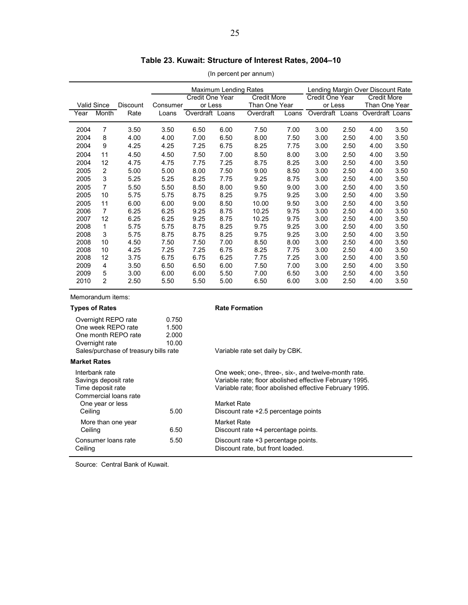# **Table 23. Kuwait: Structure of Interest Rates, 2004–10**

(In percent per annum)

|      |                    |                 |          | <b>Maximum Lending Rates</b>          |      |                 | Lending Margin Over Discount Rate |                    |       |                 |      |
|------|--------------------|-----------------|----------|---------------------------------------|------|-----------------|-----------------------------------|--------------------|-------|-----------------|------|
|      |                    |                 |          | Credit One Year<br><b>Credit More</b> |      | Credit One Year |                                   | <b>Credit More</b> |       |                 |      |
|      | <b>Valid Since</b> | <b>Discount</b> | Consumer | or Less                               |      | Than One Year   |                                   | or Less            |       | Than One Year   |      |
| Year | Month              | Rate            | Loans    | Overdraft Loans                       |      | Overdraft       | Loans                             | Overdraft          | Loans | Overdraft Loans |      |
|      |                    |                 |          |                                       |      |                 |                                   |                    |       |                 |      |
| 2004 | 7                  | 3.50            | 3.50     | 6.50                                  | 6.00 | 7.50            | 7.00                              | 3.00               | 2.50  | 4.00            | 3.50 |
| 2004 | 8                  | 4.00            | 4.00     | 7.00                                  | 6.50 | 8.00            | 7.50                              | 3.00               | 2.50  | 4.00            | 3.50 |
| 2004 | 9                  | 4.25            | 4.25     | 7.25                                  | 6.75 | 8.25            | 7.75                              | 3.00               | 2.50  | 4.00            | 3.50 |
| 2004 | 11                 | 4.50            | 4.50     | 7.50                                  | 7.00 | 8.50            | 8.00                              | 3.00               | 2.50  | 4.00            | 3.50 |
| 2004 | 12                 | 4.75            | 4.75     | 7.75                                  | 7.25 | 8.75            | 8.25                              | 3.00               | 2.50  | 4.00            | 3.50 |
| 2005 | $\overline{2}$     | 5.00            | 5.00     | 8.00                                  | 7.50 | 9.00            | 8.50                              | 3.00               | 2.50  | 4.00            | 3.50 |
| 2005 | 3                  | 5.25            | 5.25     | 8.25                                  | 7.75 | 9.25            | 8.75                              | 3.00               | 2.50  | 4.00            | 3.50 |
| 2005 | 7                  | 5.50            | 5.50     | 8.50                                  | 8.00 | 9.50            | 9.00                              | 3.00               | 2.50  | 4.00            | 3.50 |
| 2005 | 10                 | 5.75            | 5.75     | 8.75                                  | 8.25 | 9.75            | 9.25                              | 3.00               | 2.50  | 4.00            | 3.50 |
| 2005 | 11                 | 6.00            | 6.00     | 9.00                                  | 8.50 | 10.00           | 9.50                              | 3.00               | 2.50  | 4.00            | 3.50 |
| 2006 | 7                  | 6.25            | 6.25     | 9.25                                  | 8.75 | 10.25           | 9.75                              | 3.00               | 2.50  | 4.00            | 3.50 |
| 2007 | 12                 | 6.25            | 6.25     | 9.25                                  | 8.75 | 10.25           | 9.75                              | 3.00               | 2.50  | 4.00            | 3.50 |
| 2008 | 1                  | 5.75            | 5.75     | 8.75                                  | 8.25 | 9.75            | 9.25                              | 3.00               | 2.50  | 4.00            | 3.50 |
| 2008 | 3                  | 5.75            | 8.75     | 8.75                                  | 8.25 | 9.75            | 9.25                              | 3.00               | 2.50  | 4.00            | 3.50 |
| 2008 | 10                 | 4.50            | 7.50     | 7.50                                  | 7.00 | 8.50            | 8.00                              | 3.00               | 2.50  | 4.00            | 3.50 |
| 2008 | 10                 | 4.25            | 7.25     | 7.25                                  | 6.75 | 8.25            | 7.75                              | 3.00               | 2.50  | 4.00            | 3.50 |
| 2008 | 12                 | 3.75            | 6.75     | 6.75                                  | 6.25 | 7.75            | 7.25                              | 3.00               | 2.50  | 4.00            | 3.50 |
| 2009 | 4                  | 3.50            | 6.50     | 6.50                                  | 6.00 | 7.50            | 7.00                              | 3.00               | 2.50  | 4.00            | 3.50 |
| 2009 | 5                  | 3.00            | 6.00     | 6.00                                  | 5.50 | 7.00            | 6.50                              | 3.00               | 2.50  | 4.00            | 3.50 |
| 2010 | 2                  | 2.50            | 5.50     | 5.50                                  | 5.00 | 6.50            | 6.00                              | 3.00               | 2.50  | 4.00            | 3.50 |

Memorandum items:

| <b>Types of Rates</b>                                                                                                       |                                  | <b>Rate Formation</b>                                                                                                                                                                     |
|-----------------------------------------------------------------------------------------------------------------------------|----------------------------------|-------------------------------------------------------------------------------------------------------------------------------------------------------------------------------------------|
| Overnight REPO rate<br>One week REPO rate<br>One month REPO rate<br>Overnight rate<br>Sales/purchase of treasury bills rate | 0.750<br>1.500<br>2.000<br>10.00 | Variable rate set daily by CBK.                                                                                                                                                           |
| <b>Market Rates</b>                                                                                                         |                                  |                                                                                                                                                                                           |
| Interbank rate<br>Savings deposit rate<br>Time deposit rate<br>Commercial loans rate                                        |                                  | One week; one-, three-, six-, and twelve-month rate.<br>Variable rate; floor abolished effective February 1995.<br>Variable rate; floor abolished effective February 1995.<br>Market Rate |
| One year or less<br>Ceiling                                                                                                 | 5.00                             | Discount rate +2.5 percentage points                                                                                                                                                      |
| More than one year<br>Ceiling                                                                                               | 6.50                             | Market Rate<br>Discount rate +4 percentage points.                                                                                                                                        |
| Consumer loans rate<br>Ceiling                                                                                              | 5.50                             | Discount rate +3 percentage points.<br>Discount rate, but front loaded.                                                                                                                   |
|                                                                                                                             |                                  |                                                                                                                                                                                           |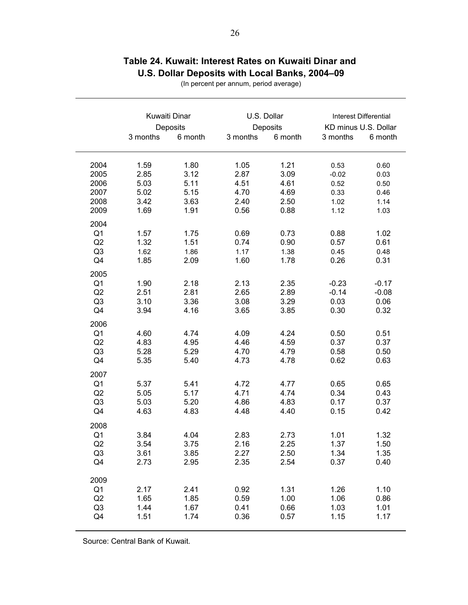|                                                                  | Kuwaiti Dinar<br>3 months                    | Deposits<br>6 month                          | U.S. Dollar<br>Deposits<br>6 month<br>3 months |                                              | KD minus U.S. Dollar<br>3 months                | Interest Differential<br>6 month             |
|------------------------------------------------------------------|----------------------------------------------|----------------------------------------------|------------------------------------------------|----------------------------------------------|-------------------------------------------------|----------------------------------------------|
|                                                                  |                                              |                                              |                                                |                                              |                                                 |                                              |
| 2004<br>2005<br>2006<br>2007<br>2008<br>2009                     | 1.59<br>2.85<br>5.03<br>5.02<br>3.42<br>1.69 | 1.80<br>3.12<br>5.11<br>5.15<br>3.63<br>1.91 | 1.05<br>2.87<br>4.51<br>4.70<br>2.40<br>0.56   | 1.21<br>3.09<br>4.61<br>4.69<br>2.50<br>0.88 | 0.53<br>$-0.02$<br>0.52<br>0.33<br>1.02<br>1.12 | 0.60<br>0.03<br>0.50<br>0.46<br>1.14<br>1.03 |
| 2004<br>Q <sub>1</sub><br>Q2<br>Q <sub>3</sub><br>Q <sub>4</sub> | 1.57<br>1.32<br>1.62<br>1.85                 | 1.75<br>1.51<br>1.86<br>2.09                 | 0.69<br>0.74<br>1.17<br>1.60                   | 0.73<br>0.90<br>1.38<br>1.78                 | 0.88<br>0.57<br>0.45<br>0.26                    | 1.02<br>0.61<br>0.48<br>0.31                 |
| 2005<br>Q <sub>1</sub><br>Q2<br>Q <sub>3</sub><br>Q4             | 1.90<br>2.51<br>3.10<br>3.94                 | 2.18<br>2.81<br>3.36<br>4.16                 | 2.13<br>2.65<br>3.08<br>3.65                   | 2.35<br>2.89<br>3.29<br>3.85                 | $-0.23$<br>$-0.14$<br>0.03<br>0.30              | $-0.17$<br>$-0.08$<br>0.06<br>0.32           |
| 2006<br>Q <sub>1</sub><br>Q2<br>Q <sub>3</sub><br>Q4             | 4.60<br>4.83<br>5.28<br>5.35                 | 4.74<br>4.95<br>5.29<br>5.40                 | 4.09<br>4.46<br>4.70<br>4.73                   | 4.24<br>4.59<br>4.79<br>4.78                 | 0.50<br>0.37<br>0.58<br>0.62                    | 0.51<br>0.37<br>0.50<br>0.63                 |
| 2007<br>Q <sub>1</sub><br>Q2<br>Q <sub>3</sub><br>Q <sub>4</sub> | 5.37<br>5.05<br>5.03<br>4.63                 | 5.41<br>5.17<br>5.20<br>4.83                 | 4.72<br>4.71<br>4.86<br>4.48                   | 4.77<br>4.74<br>4.83<br>4.40                 | 0.65<br>0.34<br>0.17<br>0.15                    | 0.65<br>0.43<br>0.37<br>0.42                 |
| 2008<br>Q <sub>1</sub><br>Q2<br>Q <sub>3</sub><br>Q4             | 3.84<br>3.54<br>3.61<br>2.73                 | 4.04<br>3.75<br>3.85<br>2.95                 | 2.83<br>2.16<br>2.27<br>2.35                   | 2.73<br>2.25<br>2.50<br>2.54                 | 1.01<br>1.37<br>1.34<br>0.37                    | 1.32<br>1.50<br>1.35<br>0.40                 |
| 2009<br>Q <sub>1</sub><br>Q2<br>Q <sub>3</sub><br>Q4             | 2.17<br>1.65<br>1.44<br>1.51                 | 2.41<br>1.85<br>1.67<br>1.74                 | 0.92<br>0.59<br>0.41<br>0.36                   | 1.31<br>1.00<br>0.66<br>0.57                 | 1.26<br>1.06<br>1.03<br>1.15                    | 1.10<br>0.86<br>1.01<br>1.17                 |

# **Table 24. Kuwait: Interest Rates on Kuwaiti Dinar and U.S. Dollar Deposits with Local Banks, 2004–09**

(In percent per annum, period average)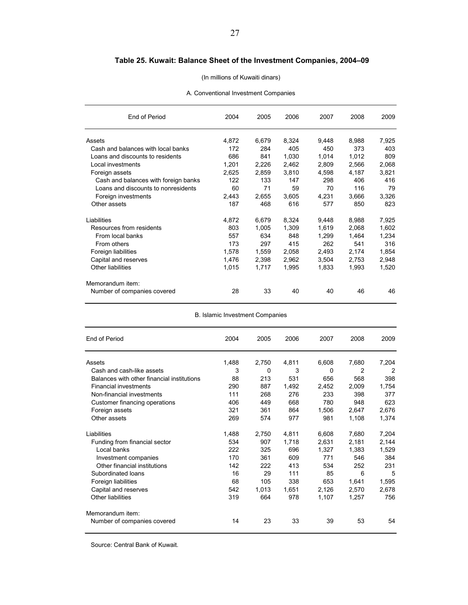### **Table 25. Kuwait: Balance Sheet of the Investment Companies, 2004–09**

#### (In millions of Kuwaiti dinars)

A. Conventional Investment Companies

| End of Period                        | 2004  | 2005  | 2006  | 2007  | 2008  | 2009  |
|--------------------------------------|-------|-------|-------|-------|-------|-------|
| Assets                               | 4,872 | 6,679 | 8,324 | 9.448 | 8,988 | 7,925 |
| Cash and balances with local banks   | 172   | 284   | 405   | 450   | 373   | 403   |
| Loans and discounts to residents     | 686   | 841   | 1,030 | 1,014 | 1,012 | 809   |
| Local investments                    | 1,201 | 2,226 | 2,462 | 2,809 | 2,566 | 2,068 |
| Foreign assets                       | 2,625 | 2,859 | 3,810 | 4,598 | 4,187 | 3,821 |
| Cash and balances with foreign banks | 122   | 133   | 147   | 298   | 406   | 416   |
| Loans and discounts to nonresidents  | 60    | 71    | 59    | 70    | 116   | 79    |
| Foreign investments                  | 2.443 | 2.655 | 3.605 | 4,231 | 3,666 | 3,326 |
| Other assets                         | 187   | 468   | 616   | 577   | 850   | 823   |
| Liabilities                          | 4,872 | 6,679 | 8,324 | 9,448 | 8,988 | 7,925 |
| Resources from residents             | 803   | 1,005 | 1,309 | 1,619 | 2,068 | 1,602 |
| From local banks                     | 557   | 634   | 848   | 1,299 | 1,464 | 1,234 |
| From others                          | 173   | 297   | 415   | 262   | 541   | 316   |
| Foreign liabilities                  | 1,578 | 1,559 | 2,058 | 2,493 | 2,174 | 1,854 |
| Capital and reserves                 | 1,476 | 2,398 | 2,962 | 3,504 | 2,753 | 2,948 |
| Other liabilities                    | 1,015 | 1,717 | 1,995 | 1,833 | 1,993 | 1,520 |
| Memorandum item:                     |       |       |       |       |       |       |
| Number of companies covered          | 28    | 33    | 40    | 40    | 46    | 46    |

B. Islamic Investment Companies

| End of Period                              | 2004  | 2005  | 2006  | 2007  | 2008  | 2009  |
|--------------------------------------------|-------|-------|-------|-------|-------|-------|
| Assets                                     | 1,488 | 2,750 | 4,811 | 6,608 | 7,680 | 7,204 |
| Cash and cash-like assets                  | 3     | 0     | 3     | 0     | 2     | 2     |
| Balances with other financial institutions | 88    | 213   | 531   | 656   | 568   | 398   |
| <b>Financial investments</b>               | 290   | 887   | 1,492 | 2,452 | 2,009 | 1,754 |
| Non-financial investments                  | 111   | 268   | 276   | 233   | 398   | 377   |
| Customer financing operations              | 406   | 449   | 668   | 780   | 948   | 623   |
| Foreign assets                             | 321   | 361   | 864   | 1,506 | 2,647 | 2,676 |
| Other assets                               | 269   | 574   | 977   | 981   | 1,108 | 1,374 |
| Liabilities                                | 1,488 | 2,750 | 4,811 | 6,608 | 7,680 | 7,204 |
| Funding from financial sector              | 534   | 907   | 1,718 | 2,631 | 2,181 | 2,144 |
| Local banks                                | 222   | 325   | 696   | 1,327 | 1,383 | 1,529 |
| Investment companies                       | 170   | 361   | 609   | 771   | 546   | 384   |
| Other financial institutions               | 142   | 222   | 413   | 534   | 252   | 231   |
| Subordinated loans                         | 16    | 29    | 111   | 85    | 6     | 5     |
| Foreign liabilities                        | 68    | 105   | 338   | 653   | 1,641 | 1,595 |
| Capital and reserves                       | 542   | 1,013 | 1,651 | 2,126 | 2,570 | 2,678 |
| Other liabilities                          | 319   | 664   | 978   | 1,107 | 1,257 | 756   |
| Memorandum item:                           |       |       |       |       |       |       |
| Number of companies covered                | 14    | 23    | 33    | 39    | 53    | 54    |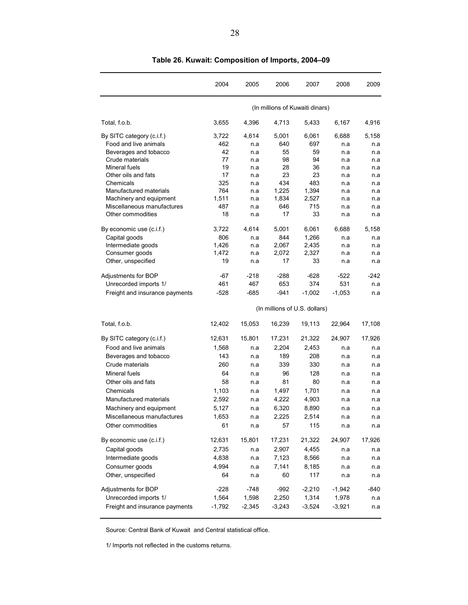|                                | 2004     | 2005     | 2006                            | 2007     | 2008     | 2009   |
|--------------------------------|----------|----------|---------------------------------|----------|----------|--------|
|                                |          |          | (In millions of Kuwaiti dinars) |          |          |        |
| Total, f.o.b.                  | 3,655    | 4,396    | 4,713                           | 5.433    | 6,167    | 4,916  |
| By SITC category (c.i.f.)      | 3,722    | 4,614    | 5,001                           | 6,061    | 6,688    | 5,158  |
| Food and live animals          | 462      | n.a      | 640                             | 697      | n a      | n.a    |
| Beverages and tobacco          | 42       | n.a      | 55                              | 59       | n a      | n.a    |
| Crude materials                | 77       | n.a      | 98                              | 94       | n.a      | n.a    |
| Mineral fuels                  | 19       | n.a      | 28                              | 36       | n.a      | n.a    |
| Other oils and fats            | 17       | n.a      | 23                              | 23       | n.a      | n.a    |
| Chemicals                      | 325      | n.a      | 434                             | 483      | n.a      | n.a    |
| Manufactured materials         | 764      | n.a      | 1,225                           | 1,394    | n a      | n.a    |
| Machinery and equipment        | 1,511    | n.a      | 1,834                           | 2,527    | n.a      | n.a    |
| Miscellaneous manufactures     | 487      | n.a      | 646                             | 715      | n.a      | n.a    |
| Other commodities              | 18       | n a      | 17                              | 33       | n a      | n.a    |
| By economic use (c.i.f.)       | 3,722    | 4,614    | 5.001                           | 6,061    | 6,688    | 5.158  |
| Capital goods                  | 806      | n a      | 844                             | 1,266    | n a      | n.a    |
| Intermediate goods             | 1,426    | n.a      | 2,067                           | 2,435    | n.a      | n.a    |
| Consumer goods                 | 1,472    | n.a      | 2,072                           | 2,327    | n.a      | n.a    |
| Other, unspecified             | 19       | n a      | 17                              | 33       | n.a      | n.a    |
| Adjustments for BOP            | -67      | $-218$   | $-288$                          | $-628$   | $-522$   | $-242$ |
| Unrecorded imports 1/          | 461      | 467      | 653                             | 374      | 531      | n.a    |
| Freight and insurance payments | -528     | $-685$   | $-941$                          | $-1,002$ | $-1,053$ | n a    |
|                                |          |          | (In millions of U.S. dollars)   |          |          |        |
| Total, f.o.b.                  | 12,402   | 15,053   | 16,239                          | 19,113   | 22,964   | 17,108 |
| By SITC category (c.i.f.)      | 12,631   | 15,801   | 17,231                          | 21,322   | 24,907   | 17,926 |
| Food and live animals          | 1,568    | n.a      | 2,204                           | 2,453    | n.a      | n.a    |
| Beverages and tobacco          | 143      | n.a      | 189                             | 208      | n.a      | n a    |
| Crude materials                | 260      | n.a      | 339                             | 330      | n.a      | n.a    |
| Mineral fuels                  | 64       | n.a      | 96                              | 128      | n.a      | n.a    |
| Other oils and fats            | 58       | n.a      | 81                              | 80       | n.a      | n.a    |
| Chemicals                      | 1,103    | n.a      | 1,497                           | 1,701    | n.a      | n.a    |
| Manufactured materials         | 2,592    |          |                                 |          |          |        |
|                                |          | n.a      | 4,222                           | 4,903    | n a      | n.a    |
| Machinery and equipment        | 5,127    | n.a      | 6,320                           | 8,890    | n.a      | n.a    |
| Miscellaneous manufactures     | 1,653    | n.a      | 2,225                           | 2,514    | n.a      | n.a    |
| Other commodities              | 61       | n.a      | 57                              | 115      | n.a      | n.a    |
| By economic use (c.i.f.)       | 12,631   | 15,801   | 17,231                          | 21,322   | 24,907   | 17,926 |
| Capital goods                  | 2,735    | n.a      | 2,907                           | 4,455    | n.a      | n.a    |
| Intermediate goods             | 4,838    | n.a      | 7,123                           | 8,566    | n.a      | n.a    |
| Consumer goods                 | 4,994    | n.a      | 7,141                           | 8,185    | n.a      | n.a    |
| Other, unspecified             | 64       | n.a      | 60                              | 117      | n.a      | n.a    |
| Adjustments for BOP            | $-228$   | $-748$   | $-992$                          | $-2,210$ | $-1,942$ | $-840$ |
| Unrecorded imports 1/          | 1,564    | 1,598    | 2,250                           | 1,314    | 1,978    | n.a    |
| Freight and insurance payments | $-1,792$ | $-2,345$ | $-3,243$                        | $-3,524$ | $-3,921$ | n.a    |

**Table 26. Kuwait: Composition of Imports, 2004–09**

Source: Central Bank of Kuwait and Central statistical office.

1/ Imports not reflected in the customs returns.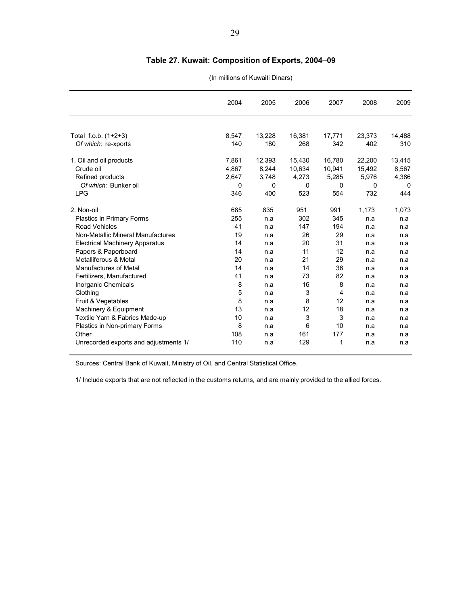### **Table 27. Kuwait: Composition of Exports, 2004–09**

#### (In millions of Kuwaiti Dinars)

|                                       | 2004  | 2005   | 2006   | 2007     | 2008     | 2009   |
|---------------------------------------|-------|--------|--------|----------|----------|--------|
|                                       |       |        |        |          |          |        |
| Total f.o.b. (1+2+3)                  | 8.547 | 13,228 | 16,381 | 17,771   | 23,373   | 14,488 |
| Of which: re-xports                   | 140   | 180    | 268    | 342      | 402      | 310    |
| 1. Oil and oil products               | 7,861 | 12,393 | 15,430 | 16,780   | 22,200   | 13,415 |
| Crude oil                             | 4,867 | 8,244  | 10,634 | 10,941   | 15,492   | 8,567  |
| Refined products                      | 2,647 | 3,748  | 4,273  | 5,285    | 5,976    | 4,386  |
| Of which: Bunker oil                  | 0     | 0      | 0      | $\Omega$ | $\Omega$ | 0      |
| <b>LPG</b>                            | 346   | 400    | 523    | 554      | 732      | 444    |
| 2. Non-oil                            | 685   | 835    | 951    | 991      | 1,173    | 1,073  |
| <b>Plastics in Primary Forms</b>      | 255   | n.a    | 302    | 345      | n.a      | n.a    |
| <b>Road Vehicles</b>                  | 41    | n.a    | 147    | 194      | n.a      | n.a    |
| Non-Metallic Mineral Manufactures     | 19    | n.a    | 26     | 29       | n.a      | n.a    |
| <b>Electrical Machinery Apparatus</b> | 14    | n.a    | 20     | 31       | n.a      | n.a    |
| Papers & Paperboard                   | 14    | n.a    | 11     | 12       | n.a      | n.a    |
| Metalliferous & Metal                 | 20    | n.a    | 21     | 29       | n.a      | n.a    |
| <b>Manufactures of Metal</b>          | 14    | n.a    | 14     | 36       | n.a      | n.a    |
| Fertilizers, Manufactured             | 41    | n.a    | 73     | 82       | n.a      | n.a    |
| Inorganic Chemicals                   | 8     | n.a    | 16     | 8        | n.a      | n.a    |
| Clothing                              | 5     | n.a    | 3      | 4        | n.a      | n.a    |
| Fruit & Vegetables                    | 8     | n.a    | 8      | 12       | n.a      | n.a    |
| Machinery & Equipment                 | 13    | n.a    | 12     | 18       | n.a      | n.a    |
| Textile Yarn & Fabrics Made-up        | 10    | n.a    | 3      | 3        | n.a      | n.a    |
| Plastics in Non-primary Forms         | 8     | n.a    | 6      | 10       | n.a      | n.a    |
| Other                                 | 108   | n.a    | 161    | 177      | n.a      | n.a    |
| Unrecorded exports and adjustments 1/ | 110   | n.a    | 129    | 1        | n.a      | n.a    |

Sources: Central Bank of Kuwait, Ministry of Oil, and Central Statistical Office.

1/ Include exports that are not reflected in the customs returns, and are mainly provided to the allied forces.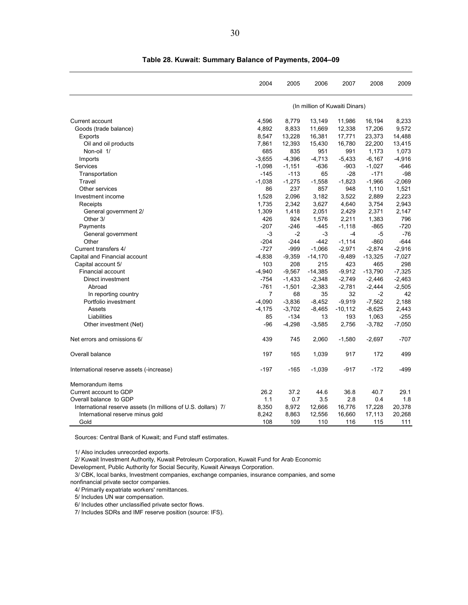|                                                               | 2004           | 2005     | 2006      | 2007                           | 2008      | 2009     |
|---------------------------------------------------------------|----------------|----------|-----------|--------------------------------|-----------|----------|
|                                                               |                |          |           | (In million of Kuwaiti Dinars) |           |          |
| Current account                                               | 4,596          | 8,779    | 13,149    | 11,986                         | 16,194    | 8,233    |
| Goods (trade balance)                                         | 4,892          | 8,833    | 11,669    | 12,338                         | 17,206    | 9,572    |
| Exports                                                       | 8,547          | 13,228   | 16,381    | 17,771                         | 23,373    | 14,488   |
| Oil and oil products                                          | 7,861          | 12,393   | 15,430    | 16,780                         | 22,200    | 13,415   |
| Non-oil 1/                                                    | 685            | 835      | 951       | 991                            | 1,173     | 1,073    |
| Imports                                                       | $-3,655$       | $-4,396$ | $-4,713$  | $-5,433$                       | $-6,167$  | $-4,916$ |
| Services                                                      | $-1,098$       | $-1,151$ | $-636$    | $-903$                         | $-1,027$  | $-646$   |
| Transportation                                                | $-145$         | $-113$   | 65        | $-28$                          | $-171$    | $-98$    |
| Travel                                                        | $-1,038$       | $-1,275$ | $-1,558$  | $-1,823$                       | $-1,966$  | $-2,069$ |
| Other services                                                | 86             | 237      | 857       | 948                            | 1,110     | 1,521    |
| Investment income                                             | 1,528          | 2,096    | 3,182     | 3,522                          | 2,889     | 2,223    |
| Receipts                                                      | 1,735          | 2,342    | 3,627     | 4,640                          | 3,754     | 2,943    |
| General government 2/                                         | 1,309          | 1,418    | 2,051     | 2,429                          | 2,371     | 2,147    |
| Other 3/                                                      | 426            | 924      | 1,576     | 2,211                          | 1,383     | 796      |
| Payments                                                      | $-207$         | $-246$   | $-445$    | $-1,118$                       | $-865$    | $-720$   |
| General government                                            | $-3$           | $-2$     | $-3$      | $-4$                           | $-5$      | $-76$    |
| Other                                                         | $-204$         | $-244$   | $-442$    | $-1,114$                       | $-860$    | $-644$   |
| Current transfers 4/                                          | $-727$         | $-999$   | $-1,066$  | $-2,971$                       | $-2,874$  | $-2,916$ |
| Capital and Financial account                                 | $-4,838$       | $-9,359$ | $-14,170$ | $-9,489$                       | $-13,325$ | $-7,027$ |
| Capital account 5/                                            | 103            | 208      | 215       | 423                            | 465       | 298      |
| <b>Financial account</b>                                      | $-4,940$       | $-9,567$ | $-14,385$ | $-9,912$                       | $-13,790$ | $-7,325$ |
| Direct investment                                             | $-754$         | $-1,433$ | $-2,348$  | $-2,749$                       | $-2,446$  | $-2,463$ |
| Abroad                                                        | $-761$         | $-1,501$ | $-2,383$  | $-2,781$                       | $-2,444$  | $-2,505$ |
| In reporting country                                          | $\overline{7}$ | 68       | 35        | 32                             | $-2$      | 42       |
| Portfolio investment                                          | $-4,090$       | $-3,836$ | $-8,452$  | $-9,919$                       | $-7,562$  | 2.188    |
| Assets                                                        | $-4,175$       | $-3,702$ | $-8,465$  | $-10,112$                      | $-8,625$  | 2,443    |
| Liabilities                                                   | 85             | $-134$   | 13        | 193                            | 1,063     | $-255$   |
| Other investment (Net)                                        | $-96$          | $-4,298$ | $-3,585$  | 2,756                          | $-3,782$  | $-7,050$ |
|                                                               |                |          |           |                                |           |          |
| Net errors and omissions 6/                                   | 439            | 745      | 2,060     | $-1,580$                       | $-2,697$  | $-707$   |
| Overall balance                                               | 197            | 165      | 1,039     | 917                            | 172       | 499      |
| International reserve assets (-increase)                      | $-197$         | $-165$   | $-1,039$  | $-917$                         | $-172$    | -499     |
| Memorandum items                                              |                |          |           |                                |           |          |
| Current account to GDP                                        | 26.2           | 37.2     | 44.6      | 36.8                           | 40.7      | 29.1     |
| Overall balance to GDP                                        | 1.1            | 0.7      | 3.5       | 2.8                            | 0.4       | 1.8      |
| International reserve assets (In millions of U.S. dollars) 7/ | 8,350          | 8,972    | 12,666    | 16,776                         | 17,228    | 20,378   |
| International reserve minus gold                              | 8,242          | 8,863    | 12,556    | 16,660                         | 17,113    | 20,268   |
| Gold                                                          | 108            | 109      | 110       | 116                            | 115       | 111      |

**Table 28. Kuwait: Summary Balance of Payments, 2004–09**

Sources: Central Bank of Kuwait; and Fund staff estimates.

1/ Also includes unrecorded exports.

2/ Kuwait Investment Authority, Kuwait Petroleum Corporation, Kuwait Fund for Arab Economic

Development, Public Authority for Social Security, Kuwait Airways Corporation.

3/ CBK, local banks, Investment companies, exchange companies, insurance companies, and some

nonfinancial private sector companies.

4/ Primarily expatriate workers' remittances.

5/ Includes UN war compensation.

6/ Includes other unclassified private sector flows.

7/ Includes SDRs and IMF reserve position (source: IFS).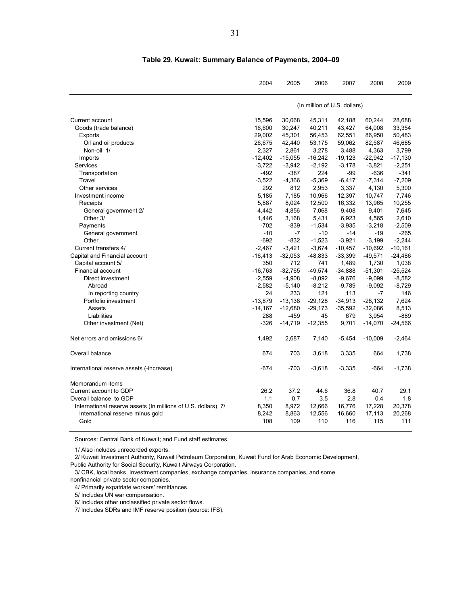|                                                               | 2004      | 2005      | 2006      | 2007                         | 2008      | 2009      |
|---------------------------------------------------------------|-----------|-----------|-----------|------------------------------|-----------|-----------|
|                                                               |           |           |           | (In million of U.S. dollars) |           |           |
| Current account                                               | 15,596    | 30.068    | 45,311    | 42.188                       | 60,244    | 28.688    |
| Goods (trade balance)                                         | 16,600    | 30,247    | 40,211    | 43,427                       | 64,008    | 33,354    |
| Exports                                                       | 29,002    | 45,301    | 56,453    | 62,551                       | 86,950    | 50,483    |
| Oil and oil products                                          | 26,675    | 42,440    | 53,175    | 59,062                       | 82,587    | 46,685    |
| Non-oil 1/                                                    | 2,327     | 2,861     | 3,278     | 3,488                        | 4,363     | 3,799     |
| Imports                                                       | $-12,402$ | $-15,055$ | $-16,242$ | $-19,123$                    | $-22,942$ | $-17,130$ |
| Services                                                      | $-3,722$  | $-3,942$  | $-2,192$  | $-3,178$                     | $-3,821$  | $-2,251$  |
| Transportation                                                | $-492$    | $-387$    | 224       | -99                          | $-636$    | $-341$    |
| Travel                                                        | $-3.522$  | $-4.366$  | $-5.369$  | $-6.417$                     | $-7,314$  | $-7.209$  |
| Other services                                                | 292       | 812       | 2,953     | 3,337                        | 4,130     | 5,300     |
| Investment income                                             | 5,185     | 7,185     | 10,966    | 12,397                       | 10,747    | 7,746     |
| Receipts                                                      | 5,887     | 8,024     | 12,500    | 16,332                       | 13,965    | 10,255    |
| General government 2/                                         | 4,442     | 4,856     | 7,068     | 9,408                        | 9,401     | 7,645     |
| Other 3/                                                      | 1,446     | 3,168     | 5,431     | 6,923                        | 4,565     | 2,610     |
| Payments                                                      | $-702$    | $-839$    | $-1,534$  | $-3,935$                     | $-3,218$  | $-2,509$  |
| General government                                            | $-10$     | $-7$      | $-10$     | -14                          | $-19$     | $-265$    |
| Other                                                         | $-692$    | $-832$    | $-1,523$  | $-3,921$                     | $-3,199$  | $-2,244$  |
| Current transfers 4/                                          | $-2.467$  | $-3,421$  | $-3,674$  | $-10,457$                    | $-10.692$ | $-10.161$ |
| Capital and Financial account                                 | $-16,413$ | $-32,053$ | $-48,833$ | $-33,399$                    | $-49,571$ | $-24,486$ |
| Capital account 5/                                            | 350       | 712       | 741       | 1,489                        | 1,730     | 1,038     |
| <b>Financial account</b>                                      | $-16.763$ | $-32,765$ | $-49,574$ | $-34,888$                    | $-51,301$ | $-25,524$ |
| Direct investment                                             | $-2,559$  | $-4,908$  | $-8,092$  | $-9,676$                     | $-9,099$  | $-8,582$  |
| Abroad                                                        | $-2,582$  | $-5,140$  | $-8,212$  | $-9,789$                     | $-9,092$  | $-8,729$  |
| In reporting country                                          | 24        | 233       | 121       | 113                          | $-7$      | 146       |
| Portfolio investment                                          | $-13,879$ | $-13,138$ | $-29,128$ | $-34,913$                    | $-28,132$ | 7,624     |
| Assets                                                        | $-14,167$ | $-12,680$ | $-29,173$ | $-35,592$                    | $-32,086$ | 8,513     |
| Liabilities                                                   | 288       | $-459$    | 45        | 679                          | 3,954     | $-889$    |
| Other investment (Net)                                        | $-326$    | $-14,719$ | $-12,355$ | 9,701                        | $-14,070$ | $-24,566$ |
|                                                               |           |           |           |                              |           |           |
| Net errors and omissions 6/                                   | 1,492     | 2,687     | 7,140     | $-5,454$                     | $-10,009$ | $-2,464$  |
| Overall balance                                               | 674       | 703       | 3,618     | 3,335                        | 664       | 1,738     |
| International reserve assets (-increase)                      | $-674$    | $-703$    | $-3,618$  | $-3,335$                     | $-664$    | $-1,738$  |
| Memorandum items                                              |           |           |           |                              |           |           |
| Current account to GDP                                        | 26.2      | 37.2      | 44.6      | 36.8                         | 40.7      | 29.1      |
| Overall balance to GDP                                        | 1.1       | 0.7       | 3.5       | 2.8                          | 0.4       | 1.8       |
| International reserve assets (In millions of U.S. dollars) 7/ | 8,350     | 8,972     | 12,666    | 16,776                       | 17,228    | 20,378    |
| International reserve minus gold                              | 8,242     | 8,863     | 12,556    | 16,660                       | 17,113    | 20,268    |
| Gold                                                          | 108       | 109       | 110       | 116                          | 115       | 111       |
|                                                               |           |           |           |                              |           |           |

**Table 29. Kuwait: Summary Balance of Payments, 2004–09**

Sources: Central Bank of Kuwait; and Fund staff estimates.

1/ Also includes unrecorded exports.

2/ Kuwait Investment Authority, Kuwait Petroleum Corporation, Kuwait Fund for Arab Economic Development,

Public Authority for Social Security, Kuwait Airways Corporation.

3/ CBK, local banks, Investment companies, exchange companies, insurance companies, and some

nonfinancial private sector companies.

4/ Primarily expatriate workers' remittances.

5/ Includes UN war compensation.

6/ Includes other unclassified private sector flows.

7/ Includes SDRs and IMF reserve position (source: IFS).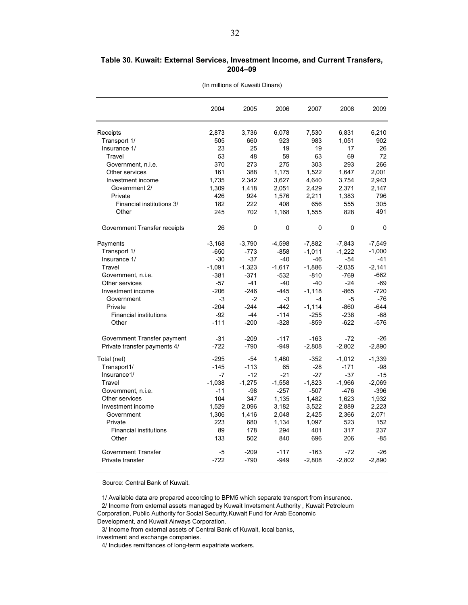#### **Table 30. Kuwait: External Services, Investment Income, and Current Transfers, 2004–09**

|                               | 2004     | 2005     | 2006     | 2007     | 2008     | 2009     |
|-------------------------------|----------|----------|----------|----------|----------|----------|
| Receipts                      | 2,873    | 3,736    | 6,078    | 7,530    | 6,831    | 6,210    |
| Transport 1/                  | 505      | 660      | 923      | 983      | 1,051    | 902      |
| Insurance 1/                  | 23       | 25       | 19       | 19       | 17       | 26       |
| Travel                        | 53       | 48       | 59       | 63       | 69       | 72       |
| Government, n.i.e.            | 370      | 273      | 275      | 303      | 293      | 266      |
| Other services                | 161      | 388      | 1,175    | 1,522    | 1,647    | 2,001    |
| Investment income             | 1,735    | 2,342    | 3,627    | 4,640    | 3,754    | 2,943    |
| Government 2/                 | 1,309    | 1,418    | 2,051    | 2,429    | 2,371    | 2,147    |
| Private                       | 426      | 924      | 1,576    | 2,211    | 1,383    | 796      |
| Financial institutions 3/     | 182      | 222      | 408      | 656      | 555      | 305      |
| Other                         | 245      | 702      | 1,168    | 1,555    | 828      | 491      |
| Government Transfer receipts  | 26       | 0        | 0        | 0        | 0        | 0        |
| Payments                      | $-3,168$ | $-3,790$ | $-4,598$ | $-7,882$ | $-7,843$ | $-7,549$ |
| Transport 1/                  | $-650$   | $-773$   | $-858$   | $-1,011$ | $-1,222$ | $-1,000$ |
| Insurance 1/                  | $-30$    | $-37$    | $-40$    | -46      | $-54$    | $-41$    |
| Travel                        | $-1,091$ | $-1,323$ | $-1,617$ | $-1,886$ | $-2,035$ | $-2,141$ |
| Government, n.i.e.            | $-381$   | $-371$   | $-532$   | $-810$   | $-769$   | $-662$   |
| Other services                | $-57$    | $-41$    | $-40$    | $-40$    | $-24$    | $-69$    |
| Investment income             | $-206$   | $-246$   | $-445$   | $-1.118$ | $-865$   | $-720$   |
| Government                    | $-3$     | $-2$     | $-3$     | -4       | $-5$     | $-76$    |
| Private                       | $-204$   | $-244$   | $-442$   | $-1,114$ | $-860$   | $-644$   |
| <b>Financial institutions</b> | $-92$    | $-44$    | $-114$   | $-255$   | $-238$   | $-68$    |
| Other                         | $-111$   | $-200$   | $-328$   | $-859$   | $-622$   | $-576$   |
| Government Transfer payment   | $-31$    | $-209$   | $-117$   | $-163$   | $-72$    | $-26$    |
| Private transfer payments 4/  | $-722$   | $-790$   | $-949$   | $-2,808$ | $-2,802$ | $-2,890$ |
| Total (net)                   | $-295$   | $-54$    | 1,480    | $-352$   | $-1,012$ | $-1,339$ |
| Transport1/                   | $-145$   | $-113$   | 65       | $-28$    | $-171$   | $-98$    |
| Insurance1/                   | $-7$     | $-12$    | $-21$    | $-27$    | $-37$    | $-15$    |
| Travel                        | $-1,038$ | $-1,275$ | $-1,558$ | $-1,823$ | $-1,966$ | $-2,069$ |
| Government, n.i.e.            | $-11$    | $-98$    | $-257$   | $-507$   | $-476$   | $-396$   |
| Other services                | 104      | 347      | 1,135    | 1,482    | 1,623    | 1,932    |
| Investment income             | 1.529    | 2,096    | 3,182    | 3,522    | 2,889    | 2,223    |
| Government                    | 1,306    | 1,416    | 2,048    | 2,425    | 2,366    | 2,071    |
| Private                       | 223      | 680      | 1,134    | 1,097    | 523      | 152      |
| <b>Financial institutions</b> | 89       | 178      | 294      | 401      | 317      | 237      |
| Other                         | 133      | 502      | 840      | 696      | 206      | -85      |
| <b>Government Transfer</b>    | $-5$     | $-209$   | $-117$   | $-163$   | $-72$    | $-26$    |
| Private transfer              | $-722$   | $-790$   | $-949$   | $-2,808$ | $-2,802$ | $-2,890$ |
|                               |          |          |          |          |          |          |

(In millions of Kuwaiti Dinars)

Source: Central Bank of Kuwait.

1/ Available data are prepared according to BPM5 which separate transport from insurance.

2/ Income from external assets managed by Kuwait Invetsment Authority , Kuwait Petroleum

Corporation, Public Authority for Social Security,Kuwait Fund for Arab Economic

Development, and Kuwait Airways Corporation.

3/ Income from external assets of Central Bank of Kuwait, local banks,

investment and exchange companies.

<sup>4/</sup> Includes remittances of long-term expatriate workers.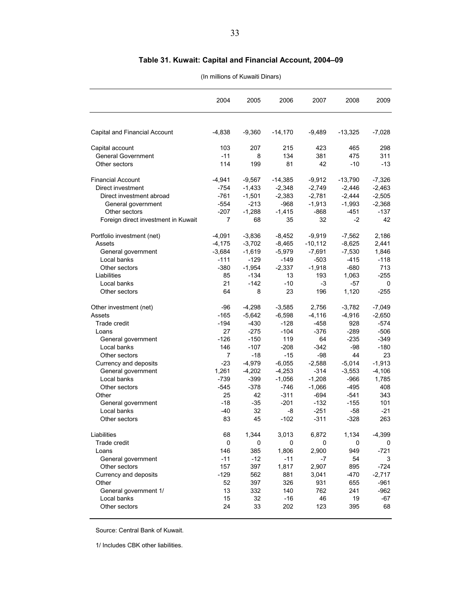### **Table 31. Kuwait: Capital and Financial Account, 2004–09**

#### (In millions of Kuwaiti Dinars)

|                                     | 2004           | 2005     | 2006      | 2007      | 2008      | 2009     |
|-------------------------------------|----------------|----------|-----------|-----------|-----------|----------|
| Capital and Financial Account       | $-4,838$       | $-9,360$ | $-14,170$ | $-9,489$  | $-13,325$ | $-7,028$ |
|                                     |                |          |           |           |           |          |
| Capital account                     | 103            | 207      | 215       | 423       | 465       | 298      |
| <b>General Government</b>           | $-11$          | 8        | 134       | 381       | 475       | 311      |
| Other sectors                       | 114            | 199      | 81        | 42        | $-10$     | -13      |
| <b>Financial Account</b>            | $-4,941$       | $-9,567$ | $-14,385$ | $-9,912$  | $-13,790$ | $-7,326$ |
| Direct investment                   | $-754$         | $-1,433$ | $-2,348$  | $-2,749$  | $-2,446$  | $-2,463$ |
| Direct investment abroad            | $-761$         | $-1,501$ | $-2,383$  | $-2,781$  | $-2,444$  | $-2,505$ |
| General government                  | $-554$         | $-213$   | $-968$    | $-1,913$  | $-1,993$  | $-2,368$ |
| Other sectors                       | $-207$         | $-1,288$ | $-1,415$  | $-868$    | $-451$    | $-137$   |
| Foreign direct investment in Kuwait | 7              | 68       | 35        | 32        | -2        | 42       |
| Portfolio investment (net)          | $-4,091$       | $-3,836$ | $-8,452$  | $-9,919$  | $-7,562$  | 2,186    |
| Assets                              | $-4,175$       | $-3,702$ | $-8,465$  | $-10.112$ | $-8,625$  | 2,441    |
| General government                  | $-3,684$       | $-1,619$ | $-5.979$  | $-7,691$  | $-7,530$  | 1,846    |
| Local banks                         | $-111$         | $-129$   | $-149$    | $-503$    | $-415$    | $-118$   |
| Other sectors                       | $-380$         | $-1,954$ | $-2,337$  | $-1,918$  | $-680$    | 713      |
| Liabilities                         | 85             | $-134$   | 13        | 193       | 1,063     | $-255$   |
| Local banks                         | 21             | $-142$   | $-10$     | -3        | -57       | 0        |
| Other sectors                       | 64             | 8        | 23        | 196       | 1,120     | $-255$   |
| Other investment (net)              | -96            | $-4,298$ | $-3,585$  | 2,756     | $-3,782$  | $-7,049$ |
| Assets                              | $-165$         | $-5,642$ | $-6,598$  | $-4,116$  | $-4,916$  | $-2,650$ |
| Trade credit                        | $-194$         | $-430$   | $-128$    | $-458$    | 928       | $-574$   |
| Loans                               | 27             | $-275$   | $-104$    | $-376$    | $-289$    | $-506$   |
| General government                  | $-126$         | $-150$   | 119       | 64        | $-235$    | $-349$   |
| Local banks                         | 146            | $-107$   | $-208$    | $-342$    | -98       | $-180$   |
| Other sectors                       | $\overline{7}$ | $-18$    | $-15$     | -98       | 44        | 23       |
| Currency and deposits               | $-23$          | $-4,979$ | $-6,055$  | $-2,588$  | $-5,014$  | $-1,913$ |
| General government                  | 1,261          | $-4,202$ | $-4,253$  | $-314$    | $-3,553$  | $-4,106$ |
| Local banks                         | -739           | $-399$   | $-1,056$  | $-1,208$  | -966      | 1,785    |
| Other sectors                       | $-545$         | -378     | $-746$    | $-1,066$  | -495      | 408      |
| Other                               | 25             | 42       | $-311$    | $-694$    | $-541$    | 343      |
| General government                  | -18            | -35      | $-201$    | $-132$    | $-155$    | 101      |
| Local banks                         | -40            | 32       | -8        | $-251$    | -58       | $-21$    |
| Other sectors                       | 83             | 45       | $-102$    | $-311$    | $-328$    | 263      |
| Liabilities                         | 68             | 1,344    | 3,013     | 6,872     | 1,134     | -4,399   |
| Trade credit                        | 0              | 0        | 0         | 0         | 0         | 0        |
| Loans                               | 146            | 385      | 1,806     | 2,900     | 949       | $-721$   |
| General government                  | $-11$          | $-12$    | $-11$     | -7        | 54        | 3        |
| Other sectors                       | 157            | 397      | 1,817     | 2,907     | 895       | $-724$   |
| Currency and deposits               | $-129$         | 562      | 881       | 3,041     | $-470$    | $-2,717$ |
| Other                               | 52             | 397      | 326       | 931       | 655       | $-961$   |
| General government 1/               | 13             | 332      | 140       | 762       | 241       | $-962$   |
| Local banks                         | 15             | 32       | $-16$     | 46        | 19        | $-67$    |
| Other sectors                       | 24             | 33       | 202       | 123       | 395       | 68       |

Source: Central Bank of Kuwait.

1/ Includes CBK other liabilities.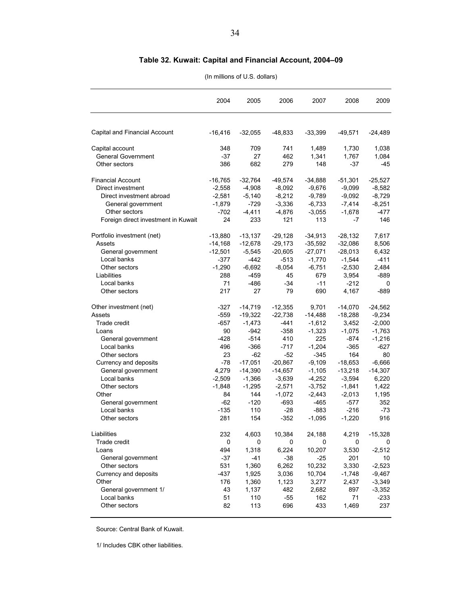### **Table 32. Kuwait: Capital and Financial Account, 2004–09**

#### (In millions of U.S. dollars)

|                                     | 2004      | 2005      | 2006      | 2007      | 2008      | 2009      |
|-------------------------------------|-----------|-----------|-----------|-----------|-----------|-----------|
|                                     |           |           |           |           |           |           |
| Capital and Financial Account       | $-16,416$ | $-32,055$ | $-48,833$ | $-33,399$ | $-49,571$ | $-24,489$ |
| Capital account                     | 348       | 709       | 741       | 1,489     | 1,730     | 1,038     |
| <b>General Government</b>           | $-37$     | 27        | 462       | 1,341     | 1,767     | 1,084     |
| Other sectors                       | 386       | 682       | 279       | 148       | -37       | -45       |
| <b>Financial Account</b>            | $-16,765$ | $-32,764$ | $-49,574$ | $-34,888$ | $-51,301$ | $-25,527$ |
| Direct investment                   | $-2,558$  | $-4,908$  | $-8,092$  | $-9,676$  | $-9,099$  | $-8,582$  |
| Direct investment abroad            | $-2,581$  | $-5,140$  | $-8,212$  | $-9,789$  | $-9,092$  | $-8,729$  |
| General government                  | $-1,879$  | $-729$    | $-3,336$  | $-6,733$  | $-7,414$  | $-8,251$  |
| Other sectors                       | -702      | $-4,411$  | $-4,876$  | $-3,055$  | $-1,678$  | $-477$    |
| Foreign direct investment in Kuwait | 24        | 233       | 121       | 113       | $-7$      | 146       |
| Portfolio investment (net)          | $-13,880$ | $-13,137$ | $-29,128$ | $-34,913$ | $-28,132$ | 7,617     |
| Assets                              | $-14,168$ | $-12,678$ | $-29,173$ | $-35,592$ | $-32,086$ | 8,506     |
| General government                  | $-12,501$ | $-5,545$  | $-20,605$ | $-27,071$ | $-28,013$ | 6,432     |
| Local banks                         | $-377$    | $-442$    | $-513$    | $-1,770$  | $-1,544$  | $-411$    |
| Other sectors                       | $-1,290$  | $-6,692$  | $-8,054$  | $-6,751$  | $-2,530$  | 2,484     |
| Liabilities                         | 288       | $-459$    | 45        | 679       | 3,954     | $-889$    |
| Local banks                         | 71        | $-486$    | -34       | $-11$     | $-212$    | 0         |
| Other sectors                       | 217       | 27        | 79        | 690       | 4,167     | $-889$    |
| Other investment (net)              | $-327$    | $-14,719$ | $-12,355$ | 9,701     | $-14,070$ | $-24,562$ |
| Assets                              | $-559$    | $-19,322$ | $-22,738$ | $-14,488$ | $-18,288$ | $-9,234$  |
| Trade credit                        | $-657$    | $-1,473$  | $-441$    | $-1,612$  | 3,452     | $-2,000$  |
| Loans                               | 90        | $-942$    | $-358$    | $-1,323$  | $-1,075$  | $-1,763$  |
| General government                  | -428      | $-514$    | 410       | 225       | -874      | $-1,216$  |
| Local banks                         | 496       | $-366$    | $-717$    | $-1,204$  | -365      | $-627$    |
| Other sectors                       | 23        | -62       | -52       | $-345$    | 164       | 80        |
| Currency and deposits               | $-78$     | $-17,051$ | $-20,867$ | $-9,109$  | $-18,653$ | $-6,666$  |
| General government                  | 4,279     | $-14,390$ | $-14,657$ | $-1,105$  | $-13,218$ | $-14,307$ |
| Local banks                         | $-2,509$  | $-1,366$  | $-3,639$  | $-4,252$  | $-3,594$  | 6,220     |
| Other sectors                       | $-1,848$  | $-1,295$  | $-2,571$  | $-3,752$  | $-1,841$  | 1,422     |
| Other                               | 84        | 144       | $-1,072$  | $-2,443$  | $-2,013$  | 1,195     |
| General government                  | -62       | $-120$    | $-693$    | $-465$    | -577      | 352       |
| Local banks                         | $-135$    | 110       | -28       | -883      | -216      | -73       |
| Other sectors                       | 281       | 154       | $-352$    | $-1,095$  | $-1,220$  | 916       |
| Liabilities                         | 232       | 4,603     | 10,384    | 24,188    | 4,219     | $-15,328$ |
| Trade credit                        | 0         | 0         | 0         | 0         | 0         | 0         |
| Loans                               | 494       | 1,318     | 6,224     | 10,207    | 3,530     | $-2,512$  |
| General government                  | $-37$     | -41       | $-38$     | $-25$     | 201       | 10        |
| Other sectors                       | 531       | 1,360     | 6,262     | 10,232    | 3,330     | $-2,523$  |
| Currency and deposits               | $-437$    | 1,925     | 3,036     | 10,704    | $-1,748$  | $-9,467$  |
| Other                               | 176       | 1,360     | 1,123     | 3,277     | 2,437     | $-3,349$  |
| General government 1/               | 43        | 1,137     | 482       | 2,682     | 897       | $-3,352$  |
| Local banks                         | 51        | 110       | $-55$     | 162       | 71        | $-233$    |
| Other sectors                       | 82        | 113       | 696       | 433       | 1,469     | 237       |

Source: Central Bank of Kuwait.

1/ Includes CBK other liabilities.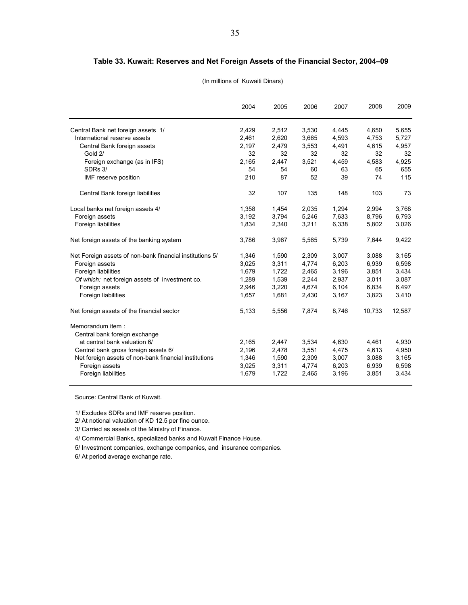#### **Table 33. Kuwait: Reserves and Net Foreign Assets of the Financial Sector, 2004–09**

|                                                          | 2004  | 2005  | 2006  | 2007  | 2008   | 2009   |
|----------------------------------------------------------|-------|-------|-------|-------|--------|--------|
| Central Bank net foreign assets 1/                       | 2,429 | 2,512 | 3,530 | 4,445 | 4,650  | 5,655  |
| International reserve assets                             | 2,461 | 2,620 | 3,665 | 4,593 | 4.753  | 5,727  |
| Central Bank foreign assets                              | 2,197 | 2,479 | 3,553 | 4,491 | 4,615  | 4,957  |
| Gold 2/                                                  | 32    | 32    | 32    | 32    | 32     | 32     |
| Foreign exchange (as in IFS)                             | 2,165 | 2,447 | 3,521 | 4,459 | 4,583  | 4,925  |
| SDRs 3/                                                  | 54    | 54    | 60    | 63    | 65     | 655    |
| IMF reserve position                                     | 210   | 87    | 52    | 39    | 74     | 115    |
| Central Bank foreign liabilities                         | 32    | 107   | 135   | 148   | 103    | 73     |
| Local banks net foreign assets 4/                        | 1,358 | 1,454 | 2,035 | 1,294 | 2,994  | 3,768  |
| Foreign assets                                           | 3,192 | 3,794 | 5,246 | 7,633 | 8,796  | 6,793  |
| Foreign liabilities                                      | 1,834 | 2,340 | 3,211 | 6,338 | 5,802  | 3,026  |
| Net foreign assets of the banking system                 | 3,786 | 3,967 | 5,565 | 5,739 | 7,644  | 9,422  |
| Net Foreign assets of non-bank financial institutions 5/ | 1,346 | 1,590 | 2,309 | 3,007 | 3,088  | 3,165  |
| Foreign assets                                           | 3,025 | 3,311 | 4,774 | 6,203 | 6,939  | 6,598  |
| Foreign liabilities                                      | 1,679 | 1,722 | 2,465 | 3,196 | 3,851  | 3,434  |
| Of which: net foreign assets of investment co.           | 1,289 | 1,539 | 2,244 | 2,937 | 3,011  | 3,087  |
| Foreign assets                                           | 2,946 | 3,220 | 4,674 | 6,104 | 6,834  | 6,497  |
| Foreign liabilities                                      | 1,657 | 1,681 | 2,430 | 3,167 | 3,823  | 3,410  |
| Net foreign assets of the financial sector               | 5,133 | 5,556 | 7,874 | 8,746 | 10,733 | 12,587 |
| Memorandum item:                                         |       |       |       |       |        |        |
| Central bank foreign exchange                            |       |       |       |       |        |        |
| at central bank valuation 6/                             | 2,165 | 2,447 | 3,534 | 4,630 | 4,461  | 4,930  |
| Central bank gross foreign assets 6/                     | 2,196 | 2,478 | 3,551 | 4,475 | 4,613  | 4,950  |
| Net foreign assets of non-bank financial institutions    | 1,346 | 1,590 | 2,309 | 3,007 | 3,088  | 3,165  |
| Foreign assets                                           | 3,025 | 3,311 | 4,774 | 6,203 | 6,939  | 6,598  |
| Foreign liabilities                                      | 1,679 | 1,722 | 2,465 | 3,196 | 3,851  | 3,434  |
|                                                          |       |       |       |       |        |        |

(In millions of Kuwaiti Dinars)

Source: Central Bank of Kuwait.

1/ Excludes SDRs and IMF reserve position.

2/ At notional valuation of KD 12.5 per fine ounce.

3/ Carried as assets of the Ministry of Finance.

4/ Commercial Banks, specialized banks and Kuwait Finance House.

5/ Investment companies, exchange companies, and insurance companies.

6/ At period average exchange rate.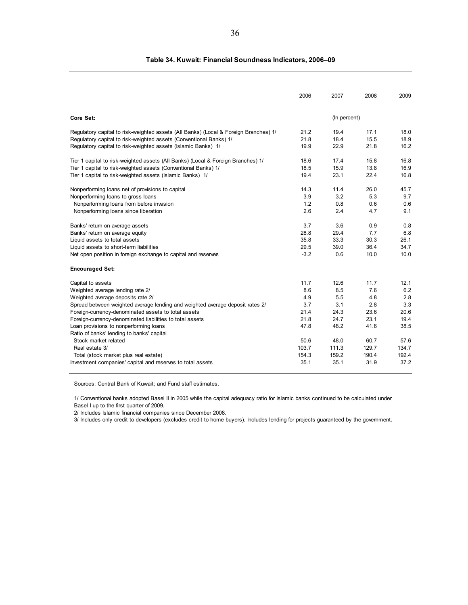|                                                                                      | 2006   | 2007         | 2008  | 2009  |
|--------------------------------------------------------------------------------------|--------|--------------|-------|-------|
| Core Set:                                                                            |        | (In percent) |       |       |
| Requlatory capital to risk-weighted assets (All Banks) (Local & Foreign Branches) 1/ | 21.2   | 19.4         | 17.1  | 18.0  |
| Regulatory capital to risk-weighted assets (Conventional Banks) 1/                   | 21.8   | 18.4         | 15.5  | 18.9  |
| Regulatory capital to risk-weighted assets (Islamic Banks) 1/                        | 19.9   | 22.9         | 21.8  | 16.2  |
| Tier 1 capital to risk-weighted assets (All Banks) (Local & Foreign Branches) 1/     | 18.6   | 17.4         | 15.8  | 16.8  |
| Tier 1 capital to risk-weighted assets (Conventional Banks) 1/                       | 18.5   | 15.9         | 13.8  | 16.9  |
| Tier 1 capital to risk-weighted assets (Islamic Banks) 1/                            | 19.4   | 23.1         | 22.4  | 16.8  |
| Nonperforming loans net of provisions to capital                                     | 14.3   | 11.4         | 26.0  | 45.7  |
| Nonperforming loans to gross loans                                                   | 3.9    | 3.2          | 5.3   | 9.7   |
| Nonperforming loans from before invasion                                             | 1.2    | 0.8          | 0.6   | 0.6   |
| Nonperforming loans since liberation                                                 | 2.6    | 2.4          | 4.7   | 9.1   |
| Banks' return on average assets                                                      | 3.7    | 3.6          | 0.9   | 0.8   |
| Banks' return on average equity                                                      | 28.8   | 29.4         | 7.7   | 6.8   |
| Liquid assets to total assets                                                        | 35.8   | 33.3         | 30.3  | 26.1  |
| Liquid assets to short-term liabilities                                              | 29.5   | 39.0         | 36.4  | 34.7  |
| Net open position in foreign exchange to capital and reserves                        | $-3.2$ | 0.6          | 10.0  | 10.0  |
| <b>Encouraged Set:</b>                                                               |        |              |       |       |
| Capital to assets                                                                    | 11.7   | 12.6         | 11.7  | 12.1  |
| Weighted average lending rate 2/                                                     | 8.6    | 8.5          | 7.6   | 6.2   |
| Weighted average deposits rate 2/                                                    | 4.9    | 5.5          | 4.8   | 2.8   |
| Spread between weighted average lending and weighted average deposit rates 2/        | 3.7    | 3.1          | 2.8   | 3.3   |
| Foreign-currency-denominated assets to total assets                                  | 21.4   | 24.3         | 23.6  | 20.6  |
| Foreign-currency-denominated liabilities to total assets                             | 21.8   | 24.7         | 23.1  | 19.4  |
| Loan provisions to nonperforming loans<br>Ratio of banks' lending to banks' capital  | 47.8   | 48.2         | 41.6  | 38.5  |
| Stock market related                                                                 | 50.6   | 48.0         | 60.7  | 57.6  |
| Real estate 3/                                                                       | 103.7  | 111.3        | 129.7 | 134.7 |
| Total (stock market plus real estate)                                                | 154.3  | 159.2        | 190.4 | 192.4 |
| Investment companies' capital and reserves to total assets                           | 35.1   | 35.1         | 31.9  | 37.2  |

#### **Table 34. Kuwait: Financial Soundness Indicators, 2006–09**

Sources: Central Bank of Kuwait; and Fund staff estimates.

1/ Conventional banks adopted Basel II in 2005 while the capital adequacy ratio for Islamic banks continued to be calculated under Basel I up to the first quarter of 2009.

2/ Includes Islamic financial companies since December 2008.

3/ Includes only credit to developers (excludes credit to home buyers). Includes lending for projects guaranteed by the government.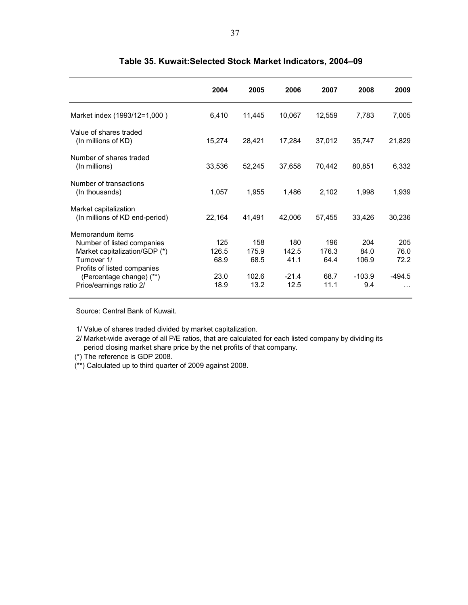|                                                                                                                                                                                      | 2004                                 | 2005                                  | 2006                                    | 2007                                 | 2008                                    | 2009                                        |
|--------------------------------------------------------------------------------------------------------------------------------------------------------------------------------------|--------------------------------------|---------------------------------------|-----------------------------------------|--------------------------------------|-----------------------------------------|---------------------------------------------|
| Market index (1993/12=1,000)                                                                                                                                                         | 6,410                                | 11,445                                | 10,067                                  | 12,559                               | 7,783                                   | 7,005                                       |
| Value of shares traded<br>(In millions of KD)                                                                                                                                        | 15,274                               | 28,421                                | 17,284                                  | 37,012                               | 35,747                                  | 21,829                                      |
| Number of shares traded<br>(In millions)                                                                                                                                             | 33,536                               | 52,245                                | 37,658                                  | 70,442                               | 80,851                                  | 6,332                                       |
| Number of transactions<br>(In thousands)                                                                                                                                             | 1,057                                | 1,955                                 | 1,486                                   | 2,102                                | 1,998                                   | 1,939                                       |
| Market capitalization<br>(In millions of KD end-period)                                                                                                                              | 22,164                               | 41,491                                | 42,006                                  | 57,455                               | 33,426                                  | 30,236                                      |
| Memorandum items<br>Number of listed companies<br>Market capitalization/GDP (*)<br>Turnover 1/<br>Profits of listed companies<br>(Percentage change) (**)<br>Price/earnings ratio 2/ | 125<br>126.5<br>68.9<br>23.0<br>18.9 | 158<br>175.9<br>68.5<br>102.6<br>13.2 | 180<br>142.5<br>41.1<br>$-21.4$<br>12.5 | 196<br>176.3<br>64.4<br>68.7<br>11.1 | 204<br>84.0<br>106.9<br>$-103.9$<br>9.4 | 205<br>76.0<br>72.2<br>$-494.5$<br>$\cdots$ |

### **Table 35. Kuwait:Selected Stock Market Indicators, 2004–09**

Source: Central Bank of Kuwait.

1/ Value of shares traded divided by market capitalization.

2/ Market-wide average of all P/E ratios, that are calculated for each listed company by dividing its period closing market share price by the net profits of that company.

(\*) The reference is GDP 2008.

(\*\*) Calculated up to third quarter of 2009 against 2008.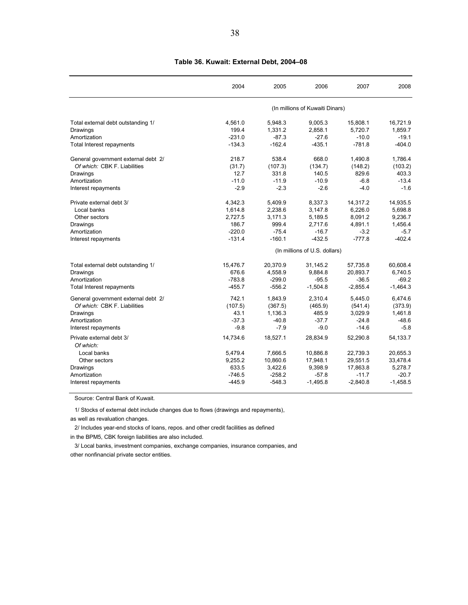|                                       | 2004     | 2005     | 2006                            | 2007       | 2008       |
|---------------------------------------|----------|----------|---------------------------------|------------|------------|
|                                       |          |          | (In millions of Kuwaiti Dinars) |            |            |
| Total external debt outstanding 1/    | 4,561.0  | 5,948.3  | 9,005.3                         | 15,808.1   | 16,721.9   |
| Drawings                              | 199.4    | 1,331.2  | 2,858.1                         | 5.720.7    | 1.859.7    |
| Amortization                          | $-231.0$ | $-87.3$  | $-27.6$                         | $-10.0$    | $-19.1$    |
| Total Interest repayments             | $-134.3$ | $-162.4$ | $-435.1$                        | $-781.8$   | $-404.0$   |
| General government external debt 2/   | 218.7    | 538.4    | 668.0                           | 1,490.8    | 1,786.4    |
| Of which: CBK F. Liabilities          | (31.7)   | (107.3)  | (134.7)                         | (148.2)    | (103.2)    |
| Drawings                              | 12.7     | 331.8    | 140.5                           | 829.6      | 403.3      |
| Amortization                          | $-11.0$  | $-11.9$  | $-10.9$                         | $-6.8$     | $-13.4$    |
| Interest repayments                   | $-2.9$   | $-2.3$   | $-2.6$                          | $-4.0$     | $-1.6$     |
| Private external debt 3/              | 4,342.3  | 5,409.9  | 8,337.3                         | 14,317.2   | 14,935.5   |
| Local banks                           | 1,614.8  | 2,238.6  | 3,147.8                         | 6,226.0    | 5,698.8    |
| Other sectors                         | 2,727.5  | 3,171.3  | 5,189.5                         | 8,091.2    | 9,236.7    |
| Drawings                              | 186.7    | 999.4    | 2.717.6                         | 4.891.1    | 1.456.4    |
| Amortization                          | $-220.0$ | $-75.4$  | $-16.7$                         | $-3.2$     | $-5.7$     |
| Interest repayments                   | $-131.4$ | $-160.1$ | $-432.5$                        | $-777.8$   | $-402.4$   |
|                                       |          |          | (In millions of U.S. dollars)   |            |            |
| Total external debt outstanding 1/    | 15,476.7 | 20,370.9 | 31,145.2                        | 57.735.8   | 60,608.4   |
| Drawings                              | 676.6    | 4,558.9  | 9,884.8                         | 20,893.7   | 6.740.5    |
| Amortization                          | $-783.8$ | $-299.0$ | $-95.5$                         | $-36.5$    | $-69.2$    |
| <b>Total Interest repayments</b>      | $-455.7$ | $-556.2$ | $-1,504.8$                      | $-2,855.4$ | $-1,464.3$ |
| General government external debt 2/   | 742.1    | 1,843.9  | 2,310.4                         | 5.445.0    | 6.474.6    |
| Of which: CBK F. Liabilities          | (107.5)  | (367.5)  | (465.9)                         | (541.4)    | (373.9)    |
| Drawings                              | 43.1     | 1,136.3  | 485.9                           | 3,029.9    | 1,461.8    |
| Amortization                          | $-37.3$  | $-40.8$  | $-37.7$                         | $-24.8$    | $-48.6$    |
| Interest repayments                   | $-9.8$   | $-7.9$   | $-9.0$                          | $-14.6$    | $-5.8$     |
| Private external debt 3/<br>Of which: | 14,734.6 | 18,527.1 | 28,834.9                        | 52,290.8   | 54,133.7   |
| Local banks                           | 5,479.4  | 7,666.5  | 10,886.8                        | 22,739.3   | 20,655.3   |
| Other sectors                         | 9,255.2  | 10,860.6 | 17,948.1                        | 29,551.5   | 33,478.4   |
| Drawings                              | 633.5    | 3,422.6  | 9,398.9                         | 17,863.8   | 5,278.7    |
| Amortization                          | $-746.5$ | $-258.2$ | $-57.8$                         | $-11.7$    | $-20.7$    |
| Interest repayments                   | $-445.9$ | $-548.3$ | $-1,495.8$                      | $-2,840.8$ | $-1,458.5$ |
|                                       |          |          |                                 |            |            |

#### **Table 36. Kuwait: External Debt, 2004–08**

Source: Central Bank of Kuwait.

1/ Stocks of external debt include changes due to flows (drawings and repayments),

as well as revaluation changes.

2/ Includes year-end stocks of loans, repos. and other credit facilities as defined

in the BPM5, CBK foreign liabilities are also included.

3/ Local banks, investment companies, exchange companies, insurance companies, and other nonfinancial private sector entities.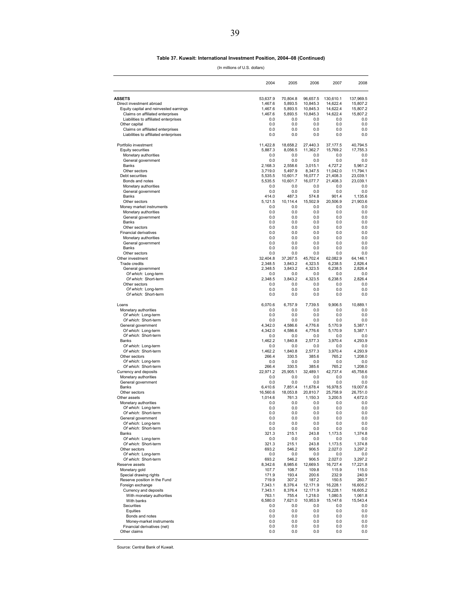#### **Table 37. Kuwait: International Investment Position, 2004–08 (Continued)**

(In millions of U.S. dollars)

|                                                        | 2004                | 2005                | 2006                | 2007               | 2008                |
|--------------------------------------------------------|---------------------|---------------------|---------------------|--------------------|---------------------|
| <b>ASSETS</b>                                          | 53,637.9            | 70,804.8            | 96,657.5            | 130,610.1          | 137.969.5           |
| Direct investment abroad                               | 1,467.6             | 5,893.5             | 10,845.3            | 14,622.4           | 15,807.2            |
| Equity capital and reinvested earnings                 | 1,467.6             | 5,893.5             | 10,845.3            | 14,622.4           | 15,807.2            |
| Claims on affiliated enterprises                       | 1,467.6             | 5,893.5             | 10,845.3            | 14,622.4           | 15,807.2            |
| Liabilities to affiliated enterprises<br>Other capital | 0.0<br>0.0          | 0.0<br>0.0          | 0.0<br>0.0          | 0.0<br>0.0         | 0.0<br>0.0          |
| Claims on affiliated enterprises                       | 0.0                 | 0.0                 | 0.0                 | 0.0                | 0.0                 |
| Liabilities to affiliated enterprises                  | 0.0                 | 0.0                 | 0.0                 | 0.0                | 0.0                 |
| Portfolio investment                                   | 11,422.8            | 18,658.2            | 27,440.3            | 37,177.5           | 40,794.5            |
| <b>Equity securities</b>                               | 5,887.3             | 8,056.5             | 11,362.7            | 15,769.2           | 17,755.3            |
| Monetary authorities                                   | 0.0                 | 0.0                 | 0.0                 | 0.0                | 0.0                 |
| General government                                     | 0.0                 | 0.0                 | 0.0                 | 0.0                | 0.0                 |
| Banks                                                  | 2,168.3             | 2,558.6             | 3,015.1             | 4,727.2            | 5,961.2             |
| Other sectors                                          | 3,719.0             | 5,497.9             | 8,347.5             | 11,042.0           | 11,794.1            |
| Debt securities                                        | 5,535.5             | 10,601.7            | 16,077.7            | 21,408.3           | 23,039.1            |
| Bonds and notes                                        | 5,535.5             | 10,601.7            | 16,077.7            | 21,408.3           | 23,039.1            |
| Monetary authorities<br>General government             | 0.0<br>0.0          | 0.0<br>0.0          | 0.0<br>0.0          | 0.0<br>0.0         | 0.0<br>0.0          |
| Banks                                                  | 414.0               | 487.3               | 574.8               | 901.4              | 1,135.6             |
| Other sectors                                          | 5,121.5             | 10,114.4            | 15,502.9            | 20,506.9           | 21,903.6            |
| Money market instruments                               | 0.0                 | 0.0                 | 0.0                 | 0.0                | 0.0                 |
| Monetary authorities                                   | 0.0                 | 0.0                 | 0.0                 | 0.0                | 0.0                 |
| General government                                     | 0.0                 | 0.0                 | 0.0                 | 0.0                | 0.0                 |
| Banks                                                  | 0.0                 | 0.0                 | 0.0                 | 0.0                | 0.0                 |
| Other sectors                                          | 0.0                 | 0.0                 | 0.0                 | 0.0                | 0.0                 |
| <b>Financial derivatives</b>                           | 0.0                 | 0.0                 | 0.0                 | 0.0                | 0.0                 |
| Monetary authorities                                   | 0.0                 | 0.0                 | 0.0                 | 0.0                | 0.0                 |
| General government                                     | 0.0                 | 0.0                 | 0.0                 | 0.0                | 0.0                 |
| Banks                                                  | 0.0                 | 0.0                 | 0.0                 | 0.0                | 0.0                 |
| Other sectors                                          | 0.0                 | 0.0                 | 0.0                 | 0.0                | 0.0                 |
| Other investment                                       | 32,404.8<br>2,348.5 | 37,267.5<br>3,843.2 | 45,702.4<br>4,323.5 | 62,082.9           | 64,146.1<br>2,826.4 |
| <b>Trade credits</b><br>General government             | 2,348.5             | 3,843.2             | 4,323.5             | 6,238.5<br>6,238.5 | 2,826.4             |
| Of which: Long-term                                    | 0.0                 | 0.0                 | 0.0                 | 0.0                | 0.0                 |
| Of which: Short-term                                   | 2,348.5             | 3,843.2             | 4,323.5             | 6,238.5            | 2,826.4             |
| Other sectors                                          | 0.0                 | 0.0                 | 0.0                 | 0.0                | 0.0                 |
| Of which: Long-term                                    | 0.0                 | 0.0                 | 0.0                 | 0.0                | 0.0                 |
| Of which: Short-term                                   | 0.0                 | 0.0                 | 0.0                 | 0.0                | 0.0                 |
| Loans                                                  | 6,070.6             | 6,757.9             | 7,739.5             | 9,906.5            | 10,889.1            |
| Monetary authorities                                   | 0.0                 | 0.0                 | 0.0                 | 0.0                | 0.0                 |
| Of which: Long-term                                    | 0.0                 | 0.0                 | 0.0                 | 0.0                | 0.0                 |
| Of which: Short-term                                   | 0.0                 | 0.0                 | 0.0                 | 0.0                | 0.0                 |
| General government                                     | 4,342.0             | 4,586.6             | 4,776.6             | 5,170.9            | 5,387.1             |
| Of which: Long-term                                    | 4,342.0             | 4,586.6             | 4,776.6             | 5,170.9            | 5,387.1             |
| Of which: Short-term                                   | 0.0                 | 0.0                 | 0.0                 | 0.0                | 0.0                 |
| Banks<br>Of which: Long-term                           | 1,462.2<br>0.0      | 1,840.8<br>0.0      | 2,577.3<br>0.0      | 3,970.4<br>0.0     | 4,293.9<br>0.0      |
| Of which: Short-term                                   | 1,462.2             | 1,840.8             | 2,577.3             | 3,970.4            | 4,293.9             |
| Other sectors                                          | 266.4               | 330.5               | 385.6               | 765.2              | 1,208.0             |
| Of which: Long-term                                    | 0.0                 | 0.0                 | 0.0                 | 0.0                | 0.0                 |
| Of which: Short-term                                   | 266.4               | 330.5               | 385.6               | 765.2              | 1,208.0             |
| Currency and deposits                                  | 22,971.2            | 25,905.1            | 32,489.1            | 42,737.4           | 45,758.6            |
| Monetary authorities                                   | 0.0                 | 0.0                 | 0.0                 | 0.0                | 0.0                 |
| General government                                     | 0.0                 | 0.0                 | 0.0                 | 0.0                | 0.0                 |
| Banks                                                  | 6,410.6             | 7.851.4             | 11,678.4            | 16,978.5           | 19,007.6            |
| Other sectors                                          | 16,560.6            | 18,053.8            | 20,810.7            | 25,758.9           | 26,751.0            |
| Other assets                                           | 1,014.6             | 761.3               | 1,150.3             | 3,200.5            | 4.672.0             |
| Monetary authorities                                   | 0.0<br>0.0          | 0.0<br>0.0          | 0.0<br>0.0          | 0.0<br>0.0         | 0.0<br>0.0          |
| Of which: Long-term<br>Of which: Short-term            | 0.0                 | 0.0                 | 0.0                 | 0.0                | 0.0                 |
| General government                                     | 0.0                 | 0.0                 | 0.0                 | 0.0                | 0.0                 |
| Of which: Long-term                                    | 0.0                 | 0.0                 | 0.0                 | 0.0                | 0.0                 |
| Of which: Short-term                                   | 0.0                 | 0.0                 | 0.0                 | 0.0                | 0.0                 |
| Banks                                                  | 321.3               | 215.1               | 243.8               | 1,173.5            | 1,374.8             |
| Of which: Long-term                                    | 0.0                 | 0.0                 | 0.0                 | 0.0                | 0.0                 |
| Of which: Short-term                                   | 321.3               | 215.1               | 243.8               | 1,173.5            | 1,374.8             |
| Other sectors                                          | 693.2               | 546.2               | 906.5               | 2,027.0            | 3,297.2             |
| Of which: Long-term                                    | 0.0                 | 0.0                 | 0.0                 | 0.0                | 0.0                 |
| Of which: Short-term                                   | 693.2               | 546.2               | 906.5               | 2,027.0            | 3,297.2             |
| Reserve assets                                         | 8,342.6             | 8,985.6             | 12,669.5            | 16,727.4           | 17,221.8            |
| Monetary gold<br>Special drawing rights                | 107.7               | 108.7               | 109.8               | 115.9<br>232.9     | 115.0               |
|                                                        | 171.9               | 193.4               | 200.6               |                    | 240.9               |
| Reserve position in the Fund<br>Foreign exchange       | 719.9<br>7,343.1    | 307.2<br>8,376.4    | 187.2<br>12,171.9   | 150.5<br>16,228.1  | 260.7<br>16,605.2   |
| Currency and deposits                                  | 7,343.1             | 8,376.4             | 12,171.9            | 16,228.1           | 16,605.2            |
| With monetary authorities                              | 763.1               | 755.4               | 1,218.0             | 1,080.5            | 1,061.8             |
| With banks                                             | 6,580.0             | 7,621.0             | 10,953.9            | 15,147.6           | 15,543.4            |
| Securities                                             | 0.0                 | 0.0                 | 0.0                 | 0.0                | 0.0                 |
| Equities                                               | 0.0                 | 0.0                 | 0.0                 | 0.0                | 0.0                 |
| Bonds and notes                                        | 0.0                 | 0.0                 | 0.0                 | 0.0                | 0.0                 |
| Money-market instruments                               | 0.0                 | 0.0                 | 0.0                 | 0.0                | 0.0                 |
| Financial derivatives (net)                            | 0.0                 | 0.0                 | 0.0                 | 0.0                | 0.0                 |
| Other claims                                           | 0.0                 | 0.0                 | 0.0                 | 0.0                | 0.0                 |